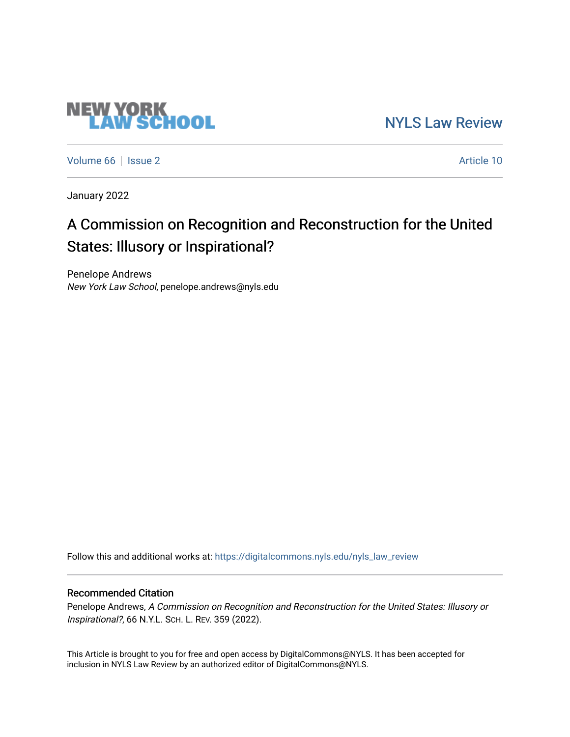# **NEW YORK<br>LAW SCHOOL**

[NYLS Law Review](https://digitalcommons.nyls.edu/nyls_law_review) 

[Volume 66](https://digitalcommons.nyls.edu/nyls_law_review/vol66) | [Issue 2](https://digitalcommons.nyls.edu/nyls_law_review/vol66/iss2) Article 10

January 2022

# A Commission on Recognition and Reconstruction for the United States: Illusory or Inspirational?

Penelope Andrews New York Law School, penelope.andrews@nyls.edu

Follow this and additional works at: [https://digitalcommons.nyls.edu/nyls\\_law\\_review](https://digitalcommons.nyls.edu/nyls_law_review?utm_source=digitalcommons.nyls.edu%2Fnyls_law_review%2Fvol66%2Fiss2%2F10&utm_medium=PDF&utm_campaign=PDFCoverPages) 

# Recommended Citation

Penelope Andrews, A Commission on Recognition and Reconstruction for the United States: Illusory or Inspirational?, 66 N.Y.L. SCH. L. REV. 359 (2022).

This Article is brought to you for free and open access by DigitalCommons@NYLS. It has been accepted for inclusion in NYLS Law Review by an authorized editor of DigitalCommons@NYLS.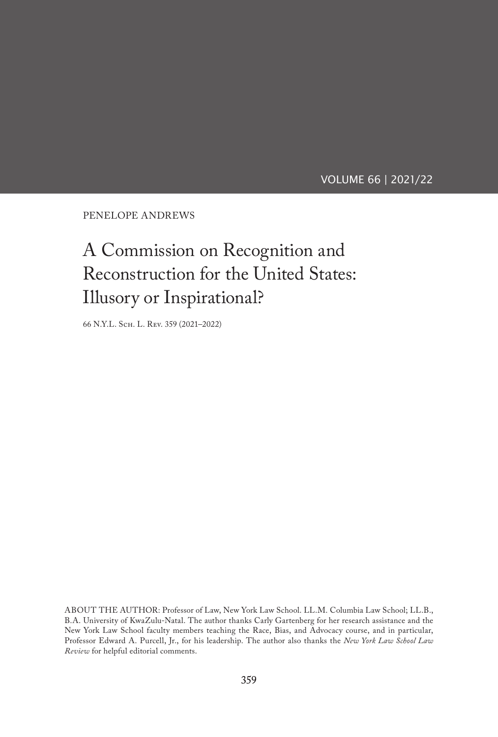VOLUME 66 | 2021/22

PENELOPE ANDREWS

# A Commission on Recognition and Reconstruction for the United States: Illusory or Inspirational?

66 N.Y.L. Sch. L. Rev. 359 (2021–2022)

ABOUT THE AUTHOR: Professor of Law, New York Law School. LL.M. Columbia Law School; LL.B., B.A. University of KwaZulu-Natal. The author thanks Carly Gartenberg for her research assistance and the New York Law School faculty members teaching the Race, Bias, and Advocacy course, and in particular, Professor Edward A. Purcell, Jr., for his leadership. The author also thanks the *New York Law School Law Review* for helpful editorial comments.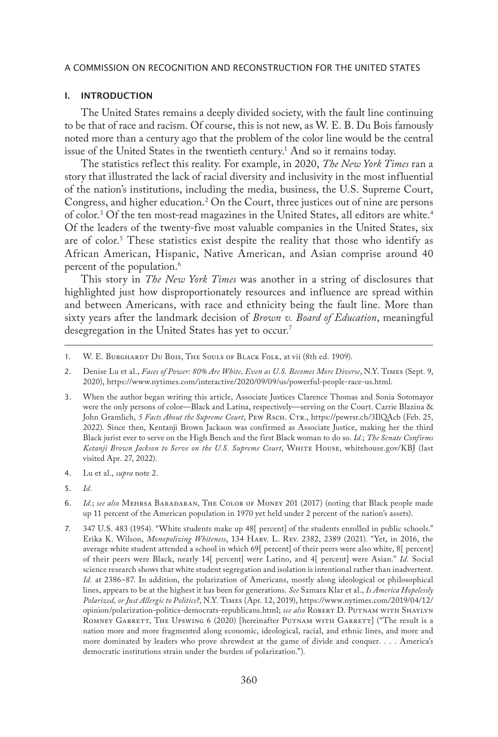#### I. INTRODUCTION

The United States remains a deeply divided society, with the fault line continuing to be that of race and racism. Of course, this is not new, as W. E. B. Du Bois famously noted more than a century ago that the problem of the color line would be the central issue of the United States in the twentieth century. $^1$  And so it remains today.

The statistics reflect this reality. For example, in 2020, *The New York Times* ran a story that illustrated the lack of racial diversity and inclusivity in the most influential of the nation's institutions, including the media, business, the U.S. Supreme Court, Congress, and higher education.2 On the Court, three justices out of nine are persons of color.<sup>3</sup> Of the ten most-read magazines in the United States, all editors are white.<sup>4</sup> Of the leaders of the twenty-five most valuable companies in the United States, six are of color.<sup>5</sup> These statistics exist despite the reality that those who identify as African American, Hispanic, Native American, and Asian comprise around 40 percent of the population.<sup>6</sup>

This story in *The New York Times* was another in a string of disclosures that highlighted just how disproportionately resources and influence are spread within and between Americans, with race and ethnicity being the fault line. More than sixty years after the landmark decision of *Brown v. Board of Education*, meaningful desegregation in the United States has yet to occur.<sup>7</sup>

- 4. Lu et al., *supra* note 2.
- 5. *Id.*

<sup>1.</sup> W. E. Burghardt Du Bois, The Souls of Black Folk, at vii (8th ed. 1909).

<sup>2.</sup> Denise Lu et al., *Faces of Power: 80% Are White, Even as U.S. Becomes More Diverse*, N.Y. Times (Sept. 9, 2020), https://www.nytimes.com/interactive/2020/09/09/us/powerful-people-race-us.html.

<sup>3.</sup> When the author began writing this article, Associate Justices Clarence Thomas and Sonia Sotomayor were the only persons of color—Black and Latina, respectively—serving on the Court. Carrie Blazina & John Gramlich, *5 Facts About the Supreme Court*, Pew Rsch. Ctr., https://pewrsr.ch/3IlQAcb (Feb. 25, 2022). Since then, Kentanji Brown Jackson was confirmed as Associate Justice, making her the third Black jurist ever to serve on the High Bench and the first Black woman to do so. *Id.*; *The Senate Confirms*  Ketanji Brown Jackson to Serve on the U.S. Supreme Court, WHITE HOUSE, whitehouse.gov/KBJ (last visited Apr. 27, 2022).

<sup>6.</sup> *Id.*; *see also* Mehrsa Baradaran, The Color of Money 201 (2017) (noting that Black people made up 11 percent of the American population in 1970 yet held under 2 percent of the nation's assets).

<sup>7.</sup> 347 U.S. 483 (1954). "White students make up 48[ percent] of the students enrolled in public schools." Erika K. Wilson, *Monopolizing Whiteness*, 134 Harv. L. Rev. 2382, 2389 (2021). "Yet, in 2016, the average white student attended a school in which 69[ percent] of their peers were also white, 8[ percent] of their peers were Black, nearly 14[ percent] were Latino, and 4[ percent] were Asian." *Id.* Social science research shows that white student segregation and isolation is intentional rather than inadvertent*. Id.* at 2386–87. In addition, the polarization of Americans, mostly along ideological or philosophical lines, appears to be at the highest it has been for generations. *See* Samara Klar et al., *Is America Hopelessly Polarized, or Just Allergic to Politics?*, N.Y. Times (Apr. 12, 2019), https://www.nytimes.com/2019/04/12/ opinion/polarization-politics-democrats-republicans.html; *see also* Robert D. Putnam with Shaylyn ROMNEY GARRETT, THE UPSWING 6 (2020) [hereinafter PUTNAM WITH GARRETT] ("The result is a nation more and more fragmented along economic, ideological, racial, and ethnic lines, and more and more dominated by leaders who prove shrewdest at the game of divide and conquer. . . . America's democratic institutions strain under the burden of polarization.").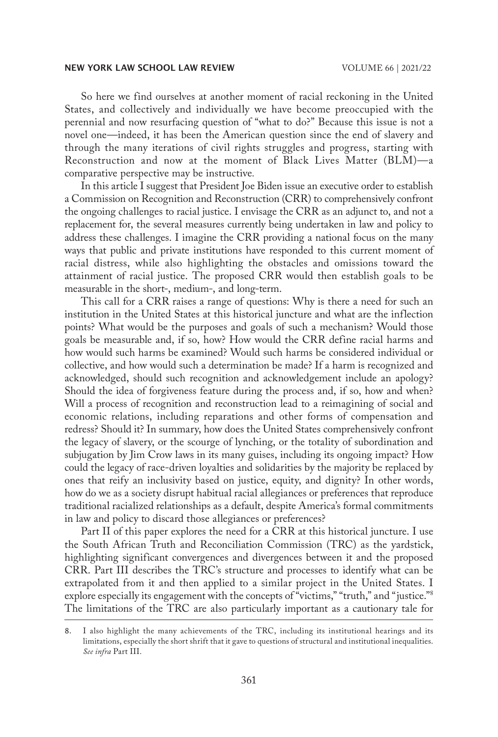So here we find ourselves at another moment of racial reckoning in the United States, and collectively and individually we have become preoccupied with the perennial and now resurfacing question of "what to do?" Because this issue is not a novel one—indeed, it has been the American question since the end of slavery and through the many iterations of civil rights struggles and progress, starting with Reconstruction and now at the moment of Black Lives Matter (BLM)—a comparative perspective may be instructive*.*

In this article I suggest that President Joe Biden issue an executive order to establish a Commission on Recognition and Reconstruction (CRR) to comprehensively confront the ongoing challenges to racial justice. I envisage the CRR as an adjunct to, and not a replacement for, the several measures currently being undertaken in law and policy to address these challenges. I imagine the CRR providing a national focus on the many ways that public and private institutions have responded to this current moment of racial distress, while also highlighting the obstacles and omissions toward the attainment of racial justice. The proposed CRR would then establish goals to be measurable in the short-, medium-, and long-term.

This call for a CRR raises a range of questions: Why is there a need for such an institution in the United States at this historical juncture and what are the inflection points? What would be the purposes and goals of such a mechanism? Would those goals be measurable and, if so, how? How would the CRR define racial harms and how would such harms be examined? Would such harms be considered individual or collective, and how would such a determination be made? If a harm is recognized and acknowledged, should such recognition and acknowledgement include an apology? Should the idea of forgiveness feature during the process and, if so, how and when? Will a process of recognition and reconstruction lead to a reimagining of social and economic relations, including reparations and other forms of compensation and redress? Should it? In summary, how does the United States comprehensively confront the legacy of slavery, or the scourge of lynching, or the totality of subordination and subjugation by Jim Crow laws in its many guises, including its ongoing impact? How could the legacy of race-driven loyalties and solidarities by the majority be replaced by ones that reify an inclusivity based on justice, equity, and dignity? In other words, how do we as a society disrupt habitual racial allegiances or preferences that reproduce traditional racialized relationships as a default, despite America's formal commitments in law and policy to discard those allegiances or preferences?

Part II of this paper explores the need for a CRR at this historical juncture. I use the South African Truth and Reconciliation Commission (TRC) as the yardstick, highlighting significant convergences and divergences between it and the proposed CRR. Part III describes the TRC's structure and processes to identify what can be extrapolated from it and then applied to a similar project in the United States. I explore especially its engagement with the concepts of "victims," "truth," and "justice."<sup>8</sup> The limitations of the TRC are also particularly important as a cautionary tale for

<sup>8.</sup> I also highlight the many achievements of the TRC, including its institutional hearings and its limitations, especially the short shrift that it gave to questions of structural and institutional inequalities. *See infra* Part III.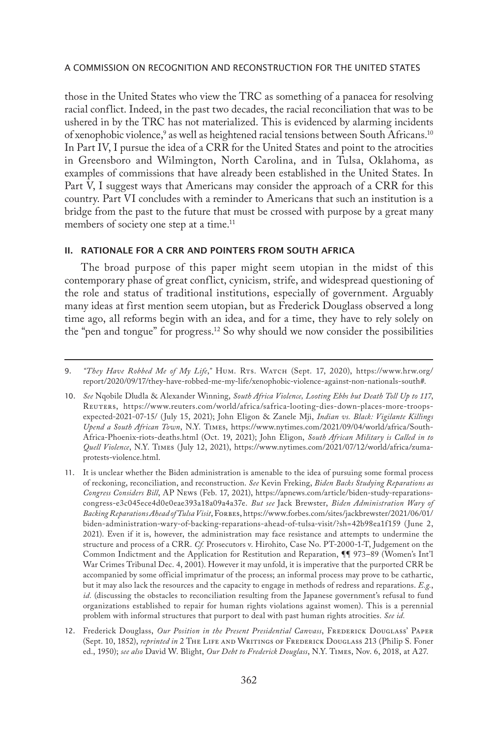those in the United States who view the TRC as something of a panacea for resolving racial conflict. Indeed, in the past two decades, the racial reconciliation that was to be ushered in by the TRC has not materialized. This is evidenced by alarming incidents of xenophobic violence, $^{\circ}$  as well as heightened racial tensions between South Africans. $^{10}$ In Part IV, I pursue the idea of a CRR for the United States and point to the atrocities in Greensboro and Wilmington, North Carolina, and in Tulsa, Oklahoma, as examples of commissions that have already been established in the United States. In Part V, I suggest ways that Americans may consider the approach of a CRR for this country. Part VI concludes with a reminder to Americans that such an institution is a bridge from the past to the future that must be crossed with purpose by a great many members of society one step at a time.<sup>11</sup>

# II. RATIONALE FOR A CRR AND POINTERS FROM SOUTH AFRICA

The broad purpose of this paper might seem utopian in the midst of this contemporary phase of great conflict, cynicism, strife, and widespread questioning of the role and status of traditional institutions, especially of government. Arguably many ideas at first mention seem utopian, but as Frederick Douglass observed a long time ago, all reforms begin with an idea, and for a time, they have to rely solely on the "pen and tongue" for progress.<sup>12</sup> So why should we now consider the possibilities

<sup>9.</sup> *"They Have Robbed Me of My Life*,*"* Hum. Rts. Watch (Sept. 17, 2020), https://www.hrw.org/ report/2020/09/17/they-have-robbed-me-my-life/xenophobic-violence-against-non-nationals-south#.

<sup>10.</sup> *See* Nqobile Dludla & Alexander Winning, *South Africa Violence, Looting Ebbs but Death Toll Up to 117*, Reuters, https://www.reuters.com/world/africa/safrica-looting-dies-down-places-more-troopsexpected-2021-07-15/ (July 15, 2021); John Eligon & Zanele Mji, *Indian vs. Black: Vigilante Killings Upend a South African Town*, N.Y. Times, https://www.nytimes.com/2021/09/04/world/africa/South-Africa-Phoenix-riots-deaths.html (Oct. 19, 2021); John Eligon, *South African Military is Called in to Quell Violence*, N.Y. Times (July 12, 2021), https://www.nytimes.com/2021/07/12/world/africa/zumaprotests-violence.html.

<sup>11.</sup> It is unclear whether the Biden administration is amenable to the idea of pursuing some formal process of reckoning, reconciliation, and reconstruction. *See* Kevin Freking, *Biden Backs Studying Reparations as Congress Considers Bill*, AP News (Feb. 17, 2021), https://apnews.com/article/biden-study-reparationscongress-e3c045ece4d0e0eae393a18a09a4a37e. *But see* Jack Brewster, *Biden Administration Wary of*  Backing Reparations Ahead of Tulsa Visit, FORBES, https://www.forbes.com/sites/jackbrewster/2021/06/01/ biden-administration-wary-of-backing-reparations-ahead-of-tulsa-visit/?sh=42b98ea1f159 (June 2, 2021). Even if it is, however, the administration may face resistance and attempts to undermine the structure and process of a CRR. *Cf.* Prosecutors v. Hirohito, Case No. PT-2000-1-T, Judgement on the Common Indictment and the Application for Restitution and Reparation, ¶¶ 973–89 (Women's Int'l War Crimes Tribunal Dec. 4, 2001). However it may unfold, it is imperative that the purported CRR be accompanied by some official imprimatur of the process; an informal process may prove to be cathartic, but it may also lack the resources and the capacity to engage in methods of redress and reparations. *E.g.*, *id.* (discussing the obstacles to reconciliation resulting from the Japanese government's refusal to fund organizations established to repair for human rights violations against women). This is a perennial problem with informal structures that purport to deal with past human rights atrocities. *See id.*

<sup>12.</sup> Frederick Douglass, Our Position in the Present Presidential Canvass, FREDERICK DOUGLASS' PAPER (Sept. 10, 1852), *reprinted in* 2 THE LIFE AND WRITINGS OF FREDERICK DOUGLASS 213 (Philip S. Foner ed., 1950); *see also* David W. Blight, *Our Debt to Frederick Douglass*, N.Y. Times, Nov. 6, 2018, at A27.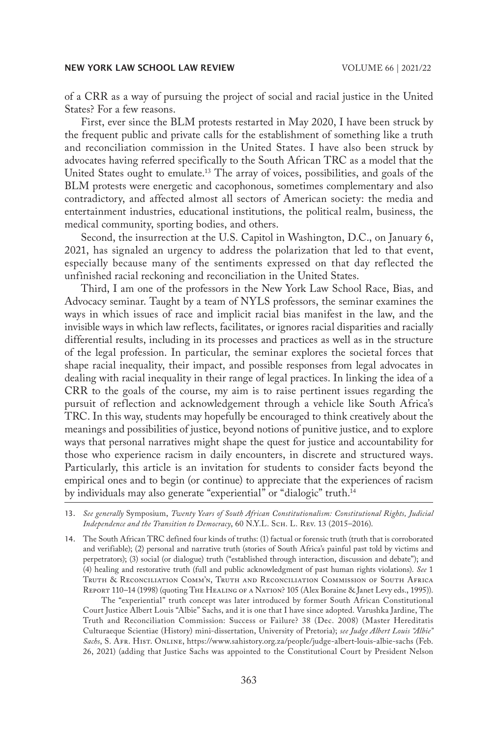of a CRR as a way of pursuing the project of social and racial justice in the United States? For a few reasons.

First, ever since the BLM protests restarted in May 2020, I have been struck by the frequent public and private calls for the establishment of something like a truth and reconciliation commission in the United States. I have also been struck by advocates having referred specifically to the South African TRC as a model that the United States ought to emulate.<sup>13</sup> The array of voices, possibilities, and goals of the BLM protests were energetic and cacophonous, sometimes complementary and also contradictory, and affected almost all sectors of American society: the media and entertainment industries, educational institutions, the political realm, business, the medical community, sporting bodies, and others.

Second, the insurrection at the U.S. Capitol in Washington, D.C., on January 6, 2021, has signaled an urgency to address the polarization that led to that event, especially because many of the sentiments expressed on that day reflected the unfinished racial reckoning and reconciliation in the United States.

Third, I am one of the professors in the New York Law School Race, Bias, and Advocacy seminar. Taught by a team of NYLS professors, the seminar examines the ways in which issues of race and implicit racial bias manifest in the law, and the invisible ways in which law reflects, facilitates, or ignores racial disparities and racially differential results, including in its processes and practices as well as in the structure of the legal profession. In particular, the seminar explores the societal forces that shape racial inequality, their impact, and possible responses from legal advocates in dealing with racial inequality in their range of legal practices. In linking the idea of a CRR to the goals of the course, my aim is to raise pertinent issues regarding the pursuit of reflection and acknowledgement through a vehicle like South Africa's TRC. In this way, students may hopefully be encouraged to think creatively about the meanings and possibilities of justice, beyond notions of punitive justice, and to explore ways that personal narratives might shape the quest for justice and accountability for those who experience racism in daily encounters, in discrete and structured ways. Particularly, this article is an invitation for students to consider facts beyond the empirical ones and to begin (or continue) to appreciate that the experiences of racism by individuals may also generate "experiential" or "dialogic" truth.14

13. *See generally* Symposium, *Twenty Years of South African Constitutionalism: Constitutional Rights, Judicial*  Independence and the Transition to Democracy, 60 N.Y.L. SCH. L. REV. 13 (2015–2016).

14. The South African TRC defined four kinds of truths: (1) factual or forensic truth (truth that is corroborated and verifiable); (2) personal and narrative truth (stories of South Africa's painful past told by victims and perpetrators); (3) social (or dialogue) truth ("established through interaction, discussion and debate"); and (4) healing and restorative truth (full and public acknowledgment of past human rights violations). *See* 1 Truth & Reconciliation Comm'n, Truth and Reconciliation Commission of South Africa REPORT 110-14 (1998) (quoting THE HEALING OF A NATION? 105 (Alex Boraine & Janet Levy eds., 1995)).

The "experiential" truth concept was later introduced by former South African Constitutional Court Justice Albert Louis "Albie" Sachs, and it is one that I have since adopted. Varushka Jardine, The Truth and Reconciliation Commission: Success or Failure? 38 (Dec. 2008) (Master Hereditatis Culturaeque Scientiae (History) mini-dissertation, University of Pretoria); *see Judge Albert Louis "Albie" Sachs*, S. Afr. Hist. Online, https://www.sahistory.org.za/people/judge-albert-louis-albie-sachs (Feb. 26, 2021) (adding that Justice Sachs was appointed to the Constitutional Court by President Nelson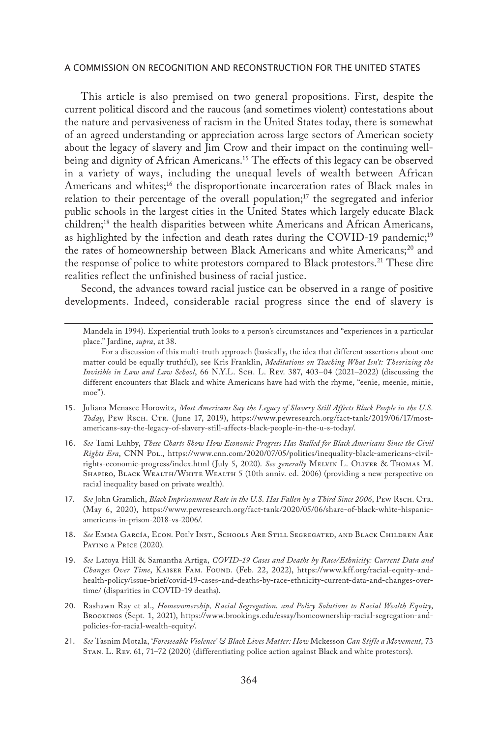This article is also premised on two general propositions. First, despite the current political discord and the raucous (and sometimes violent) contestations about the nature and pervasiveness of racism in the United States today, there is somewhat of an agreed understanding or appreciation across large sectors of American society about the legacy of slavery and Jim Crow and their impact on the continuing wellbeing and dignity of African Americans.15 The effects of this legacy can be observed in a variety of ways, including the unequal levels of wealth between African Americans and whites;<sup>16</sup> the disproportionate incarceration rates of Black males in relation to their percentage of the overall population;<sup>17</sup> the segregated and inferior public schools in the largest cities in the United States which largely educate Black children;18 the health disparities between white Americans and African Americans, as highlighted by the infection and death rates during the COVID-19 pandemic;<sup>19</sup> the rates of homeownership between Black Americans and white Americans;<sup>20</sup> and the response of police to white protestors compared to Black protestors.<sup>21</sup> These dire realities reflect the unfinished business of racial justice.

Second, the advances toward racial justice can be observed in a range of positive developments. Indeed, considerable racial progress since the end of slavery is

- 15. Juliana Menasce Horowitz, *Most Americans Say the Legacy of Slavery Still Affects Black People in the U.S. Today*, Pew Rsch. Ctr. (June 17, 2019), https://www.pewresearch.org/fact-tank/2019/06/17/mostamericans-say-the-legacy-of-slavery-still-affects-black-people-in-the-u-s-today/.
- 16. *See* Tami Luhby, *These Charts Show How Economic Progress Has Stalled for Black Americans Since the Civil Rights Era*, CNN Pol., https://www.cnn.com/2020/07/05/politics/inequality-black-americans-civilrights-economic-progress/index.html (July 5, 2020). *See generally* Melvin L. Oliver & Thomas M. SHAPIRO, BLACK WEALTH/WHITE WEALTH 5 (10th anniv. ed. 2006) (providing a new perspective on racial inequality based on private wealth).
- 17. See John Gramlich, *Black Imprisonment Rate in the U.S. Has Fallen by a Third Since 2006*, PEW Rsch. CTR. (May 6, 2020), https://www.pewresearch.org/fact-tank/2020/05/06/share-of-black-white-hispanicamericans-in-prison-2018-vs-2006/.
- 18. *See* Emma García, Econ. Pol'y Inst., Schools Are Still Segregated, and Black Children Are PAYING A PRICE (2020).
- 19. *See* Latoya Hill & Samantha Artiga, *COVID-19 Cases and Deaths by Race/Ethnicity: Current Data and Changes Over Time*, Kaiser Fam. Found. (Feb. 22, 2022), https://www.kff.org/racial-equity-andhealth-policy/issue-brief/covid-19-cases-and-deaths-by-race-ethnicity-current-data-and-changes-overtime/ (disparities in COVID-19 deaths).
- 20. Rashawn Ray et al., *Homeownership, Racial Segregation, and Policy Solutions to Racial Wealth Equity*, Brookings (Sept. 1, 2021), https://www.brookings.edu/essay/homeownership-racial-segregation-andpolicies-for-racial-wealth-equity/.
- 21. *See* Tasnim Motala, '*Foreseeable Violence' & Black Lives Matter: How* Mckesson *Can Stifle a Movement*, 73 Stan. L. Rev. 61, 71–72 (2020) (differentiating police action against Black and white protestors).

Mandela in 1994). Experiential truth looks to a person's circumstances and "experiences in a particular place." Jardine, *supra*, at 38.

For a discussion of this multi-truth approach (basically, the idea that different assertions about one matter could be equally truthful), see Kris Franklin, *Meditations on Teaching What Isn't: Theorizing the Invisible in Law and Law School*, 66 N.Y.L. Sch. L. Rev. 387, 403–04 (2021–2022) (discussing the different encounters that Black and white Americans have had with the rhyme, "eenie, meenie, minie, moe").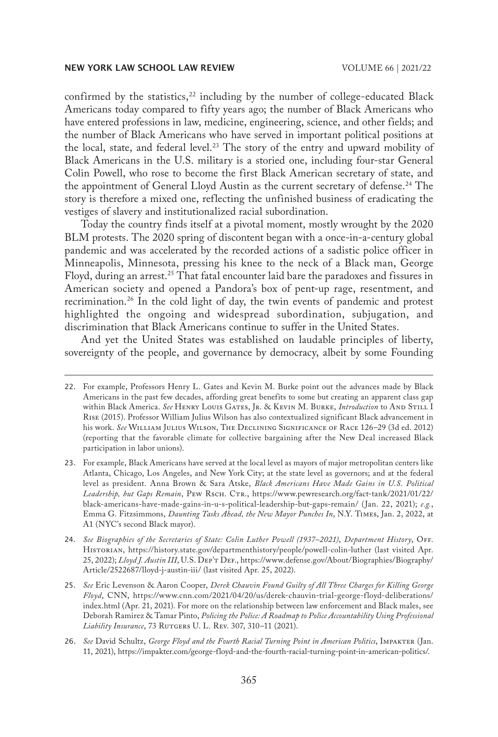confirmed by the statistics, $22$  including by the number of college-educated Black Americans today compared to fifty years ago; the number of Black Americans who have entered professions in law, medicine, engineering, science, and other fields; and the number of Black Americans who have served in important political positions at the local, state, and federal level.<sup>23</sup> The story of the entry and upward mobility of Black Americans in the U.S. military is a storied one, including four-star General Colin Powell, who rose to become the first Black American secretary of state, and the appointment of General Lloyd Austin as the current secretary of defense.<sup>24</sup> The story is therefore a mixed one, reflecting the unfinished business of eradicating the vestiges of slavery and institutionalized racial subordination.

Today the country finds itself at a pivotal moment, mostly wrought by the 2020 BLM protests. The 2020 spring of discontent began with a once-in-a-century global pandemic and was accelerated by the recorded actions of a sadistic police officer in Minneapolis, Minnesota, pressing his knee to the neck of a Black man, George Floyd, during an arrest.<sup>25</sup> That fatal encounter laid bare the paradoxes and fissures in American society and opened a Pandora's box of pent-up rage, resentment, and recrimination.26 In the cold light of day, the twin events of pandemic and protest highlighted the ongoing and widespread subordination, subjugation, and discrimination that Black Americans continue to suffer in the United States.

And yet the United States was established on laudable principles of liberty, sovereignty of the people, and governance by democracy, albeit by some Founding

26. *See* David Schultz, *George Floyd and the Fourth Racial Turning Point in American Politics*, IMPAKTER (Jan. 11, 2021), https://impakter.com/george-floyd-and-the-fourth-racial-turning-point-in-american-politics/.

<sup>22.</sup> For example, Professors Henry L. Gates and Kevin M. Burke point out the advances made by Black Americans in the past few decades, affording great benefits to some but creating an apparent class gap within Black America. *See* Henry Louis Gates, Jr. & Kevin M. Burke, *Introduction* to And Still I Rise (2015). Professor William Julius Wilson has also contextualized significant Black advancement in his work. *See* William Julius Wilson, The Declining Significance of Race 126–29 (3d ed. 2012) (reporting that the favorable climate for collective bargaining after the New Deal increased Black participation in labor unions).

<sup>23.</sup> For example, Black Americans have served at the local level as mayors of major metropolitan centers like Atlanta, Chicago, Los Angeles, and New York City; at the state level as governors; and at the federal level as president. Anna Brown & Sara Atske, *Black Americans Have Made Gains in U.S. Political*  Leadership, but Gaps Remain, PEW RSCH. CTR., https://www.pewresearch.org/fact-tank/2021/01/22/ black-americans-have-made-gains-in-u-s-political-leadership-but-gaps-remain/ (Jan. 22, 2021); *e.g.*, Emma G. Fitzsimmons, *Daunting Tasks Ahead, the New Mayor Punches In*, N.Y. Times, Jan. 2, 2022, at A1 (NYC's second Black mayor).

<sup>24.</sup> *See Biographies of the Secretaries of State: Colin Luther Powell (1937–2021)*, *Department History*, Off. Historian, https://history.state.gov/departmenthistory/people/powell-colin-luther (last visited Apr. 25, 2022); *Lloyd J. Austin III*, U.S. DEP'T DEF., https://www.defense.gov/About/Biographies/Biography/ Article/2522687/lloyd-j-austin-iii/ (last visited Apr. 25, 2022).

<sup>25.</sup> *See* Eric Levenson & Aaron Cooper, *Derek Chauvin Found Guilty of All Three Charges for Killing George Floyd*, CNN, https://www.cnn.com/2021/04/20/us/derek-chauvin-trial-george-floyd-deliberations/ index.html (Apr. 21, 2021). For more on the relationship between law enforcement and Black males, see Deborah Ramirez & Tamar Pinto, *Policing the Police: A Roadmap to Police Accountability Using Professional*  Liability Insurance, 73 RUTGERS U. L. REV. 307, 310-11 (2021).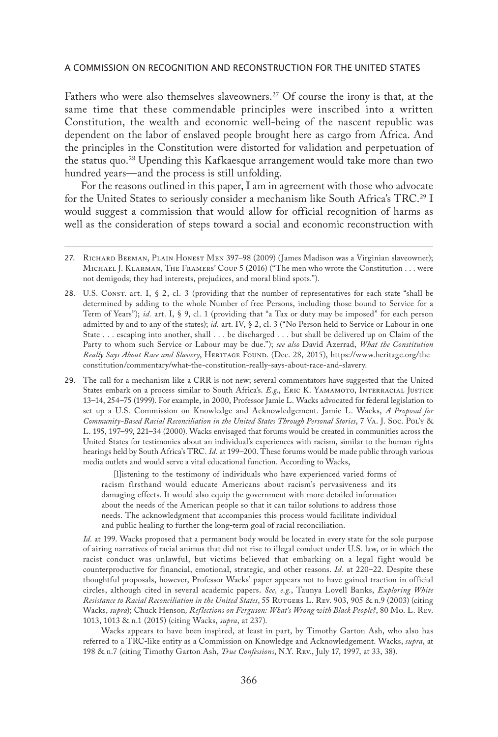Fathers who were also themselves slaveowners.<sup>27</sup> Of course the irony is that, at the same time that these commendable principles were inscribed into a written Constitution, the wealth and economic well-being of the nascent republic was dependent on the labor of enslaved people brought here as cargo from Africa. And the principles in the Constitution were distorted for validation and perpetuation of the status quo.28 Upending this Kafkaesque arrangement would take more than two hundred years—and the process is still unfolding.

For the reasons outlined in this paper, I am in agreement with those who advocate for the United States to seriously consider a mechanism like South Africa's TRC.<sup>29</sup> I would suggest a commission that would allow for official recognition of harms as well as the consideration of steps toward a social and economic reconstruction with

28. U.S. Const. art. I, § 2, cl. 3 (providing that the number of representatives for each state "shall be determined by adding to the whole Number of free Persons, including those bound to Service for a Term of Years"); *id.* art. I, § 9, cl. 1 (providing that "a Tax or duty may be imposed" for each person admitted by and to any of the states); *id.* art. IV, § 2, cl. 3 ("No Person held to Service or Labour in one State . . . escaping into another, shall . . . be discharged . . . but shall be delivered up on Claim of the Party to whom such Service or Labour may be due."); *see also* David Azerrad, *What the Constitution*  Really Says About Race and Slavery, HERITAGE FOUND. (Dec. 28, 2015), https://www.heritage.org/theconstitution/commentary/what-the-constitution-really-says-about-race-and-slavery.

29. The call for a mechanism like a CRR is not new; several commentators have suggested that the United States embark on a process similar to South Africa's. *E.g.*, ERIC K. YAMAMOTO, INTERRACIAL JUSTICE 13–14, 254–75 (1999). For example, in 2000, Professor Jamie L. Wacks advocated for federal legislation to set up a U.S. Commission on Knowledge and Acknowledgement. Jamie L. Wacks, *A Proposal for Community-Based Racial Reconciliation in the United States Through Personal Stories*, 7 Va. J. Soc. Pol'y & L. 195, 197–99, 221–34 (2000). Wacks envisaged that forums would be created in communities across the United States for testimonies about an individual's experiences with racism, similar to the human rights hearings held by South Africa's TRC. *Id.* at 199–200. These forums would be made public through various media outlets and would serve a vital educational function. According to Wacks,

[l]istening to the testimony of individuals who have experienced varied forms of racism firsthand would educate Americans about racism's pervasiveness and its damaging effects. It would also equip the government with more detailed information about the needs of the American people so that it can tailor solutions to address those needs. The acknowledgment that accompanies this process would facilitate individual and public healing to further the long-term goal of racial reconciliation.

*Id.* at 199. Wacks proposed that a permanent body would be located in every state for the sole purpose of airing narratives of racial animus that did not rise to illegal conduct under U.S. law, or in which the racist conduct was unlawful, but victims believed that embarking on a legal fight would be counterproductive for financial, emotional, strategic, and other reasons. *Id.* at 220–22. Despite these thoughtful proposals, however, Professor Wacks' paper appears not to have gained traction in official circles, although cited in several academic papers. *See, e.g.*, Taunya Lovell Banks, *Exploring White Resistance to Racial Reconciliation in the United States*, 55 Rutgers L. Rev. 903, 905 & n.9 (2003) (citing Wacks, *supra*); Chuck Henson*, Reflections on Ferguson: What's Wrong with Black People?*, 80 Mo. L. Rev. 1013, 1013 & n.1 (2015) (citing Wacks, *supra*, at 237).

Wacks appears to have been inspired, at least in part, by Timothy Garton Ash, who also has referred to a TRC-like entity as a Commission on Knowledge and Acknowledgement. Wacks, *supra*, at 198 & n.7 (citing Timothy Garton Ash, *True Confessions*, N.Y. Rev., July 17, 1997, at 33, 38).

<sup>27.</sup> RICHARD BEEMAN, PLAIN HONEST MEN 397-98 (2009) (James Madison was a Virginian slaveowner); Michael J. Klarman, The Framers' Coup 5 (2016) ("The men who wrote the Constitution . . . were not demigods; they had interests, prejudices, and moral blind spots.").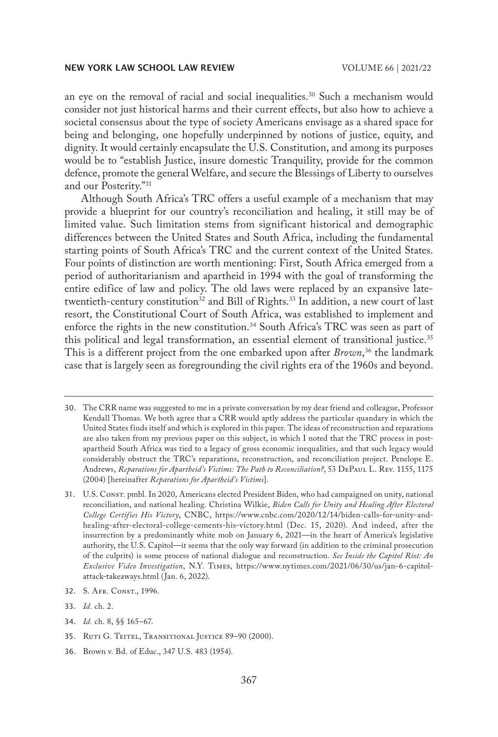an eye on the removal of racial and social inequalities.<sup>30</sup> Such a mechanism would consider not just historical harms and their current effects, but also how to achieve a societal consensus about the type of society Americans envisage as a shared space for being and belonging, one hopefully underpinned by notions of justice, equity, and dignity. It would certainly encapsulate the U.S. Constitution, and among its purposes would be to "establish Justice, insure domestic Tranquility, provide for the common defence, promote the general Welfare, and secure the Blessings of Liberty to ourselves and our Posterity."31

Although South Africa's TRC offers a useful example of a mechanism that may provide a blueprint for our country's reconciliation and healing, it still may be of limited value. Such limitation stems from significant historical and demographic differences between the United States and South Africa, including the fundamental starting points of South Africa's TRC and the current context of the United States. Four points of distinction are worth mentioning: First, South Africa emerged from a period of authoritarianism and apartheid in 1994 with the goal of transforming the entire edifice of law and policy. The old laws were replaced by an expansive latetwentieth-century constitution<sup>32</sup> and Bill of Rights.<sup>33</sup> In addition, a new court of last resort, the Constitutional Court of South Africa, was established to implement and enforce the rights in the new constitution.<sup>34</sup> South Africa's TRC was seen as part of this political and legal transformation, an essential element of transitional justice.<sup>35</sup> This is a different project from the one embarked upon after *Brown*, 36 the landmark case that is largely seen as foregrounding the civil rights era of the 1960s and beyond.

- 32. S. Afr. Const., 1996.
- 33. *Id.* ch. 2.
- 34. *Id.* ch. 8, §§ 165–67.
- 35. RUTI G. TEITEL, TRANSITIONAL JUSTICE 89-90 (2000).
- 36. Brown v. Bd. of Educ., 347 U.S. 483 (1954).

<sup>30.</sup> The CRR name was suggested to me in a private conversation by my dear friend and colleague, Professor Kendall Thomas. We both agree that a CRR would aptly address the particular quandary in which the United States finds itself and which is explored in this paper. The ideas of reconstruction and reparations are also taken from my previous paper on this subject, in which I noted that the TRC process in postapartheid South Africa was tied to a legacy of gross economic inequalities, and that such legacy would considerably obstruct the TRC's reparations, reconstruction, and reconciliation project. Penelope E. Andrews, *Reparations for Apartheid's Victims: The Path to Reconciliation?*, 53 DePaul L. Rev. 1155, 1175 (2004) [hereinafter *Reparations for Apartheid's Victims*].

<sup>31.</sup> U.S. Const. pmbl. In 2020, Americans elected President Biden, who had campaigned on unity, national reconciliation, and national healing. Christina Wilkie, *Biden Calls for Unity and Healing After Electoral College Certifies His Victory*, CNBC, https://www.cnbc.com/2020/12/14/biden-calls-for-unity-andhealing-after-electoral-college-cements-his-victory.html (Dec. 15, 2020). And indeed, after the insurrection by a predominantly white mob on January 6, 2021—in the heart of America's legislative authority, the U.S. Capitol—it seems that the only way forward (in addition to the criminal prosecution of the culprits) is some process of national dialogue and reconstruction. *See Inside the Capitol Riot: An Exclusive Video Investigation*, N.Y. Times, https://www.nytimes.com/2021/06/30/us/jan-6-capitolattack-takeaways.html (Jan. 6, 2022).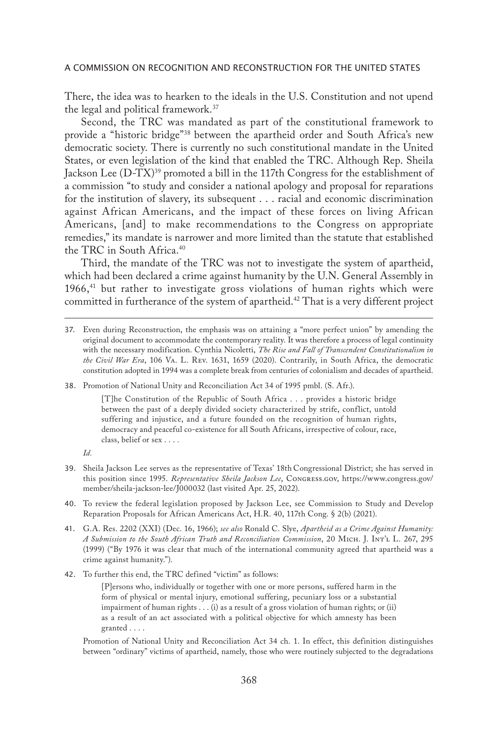There, the idea was to hearken to the ideals in the U.S. Constitution and not upend the legal and political framework.37

Second, the TRC was mandated as part of the constitutional framework to provide a "historic bridge"38 between the apartheid order and South Africa's new democratic society. There is currently no such constitutional mandate in the United States, or even legislation of the kind that enabled the TRC. Although Rep. Sheila Jackson Lee (D-TX)<sup>39</sup> promoted a bill in the 117th Congress for the establishment of a commission "to study and consider a national apology and proposal for reparations for the institution of slavery, its subsequent . . . racial and economic discrimination against African Americans, and the impact of these forces on living African Americans, [and] to make recommendations to the Congress on appropriate remedies," its mandate is narrower and more limited than the statute that established the TRC in South Africa.40

Third, the mandate of the TRC was not to investigate the system of apartheid, which had been declared a crime against humanity by the U.N. General Assembly in  $1966<sup>41</sup>$  but rather to investigate gross violations of human rights which were committed in furtherance of the system of apartheid.<sup>42</sup> That is a very different project

38. Promotion of National Unity and Reconciliation Act 34 of 1995 pmbl. (S. Afr.).

[T]he Constitution of the Republic of South Africa . . . provides a historic bridge between the past of a deeply divided society characterized by strife, conflict, untold suffering and injustice, and a future founded on the recognition of human rights, democracy and peaceful co-existence for all South Africans, irrespective of colour, race, class, belief or sex . . . *.*

*Id.*

- 39. Sheila Jackson Lee serves as the representative of Texas' 18th Congressional District; she has served in this position since 1995. *Representative Sheila Jackson Lee*, Congress.gov, https://www.congress.gov/ member/sheila-jackson-lee/J000032 (last visited Apr. 25, 2022).
- 40. To review the federal legislation proposed by Jackson Lee, see Commission to Study and Develop Reparation Proposals for African Americans Act, H.R. 40, 117th Cong. § 2(b) (2021).
- 41. G.A. Res. 2202 (XXI) (Dec. 16, 1966); *see also* Ronald C. Slye, *Apartheid as a Crime Against Humanity: A Submission to the South African Truth and Reconciliation Commission*, 20 Mich. J. Int'l L. 267, 295 (1999) ("By 1976 it was clear that much of the international community agreed that apartheid was a crime against humanity.").
- 42. To further this end, the TRC defined "victim" as follows:

[P]ersons who, individually or together with one or more persons, suffered harm in the form of physical or mental injury, emotional suffering, pecuniary loss or a substantial impairment of human rights . . . (i) as a result of a gross violation of human rights; or (ii) as a result of an act associated with a political objective for which amnesty has been granted . . . .

Promotion of National Unity and Reconciliation Act 34 ch. 1. In effect, this definition distinguishes between "ordinary" victims of apartheid, namely, those who were routinely subjected to the degradations

<sup>37.</sup> Even during Reconstruction, the emphasis was on attaining a "more perfect union" by amending the original document to accommodate the contemporary reality. It was therefore a process of legal continuity with the necessary modification. Cynthia Nicoletti, *The Rise and Fall of Transcendent Constitutionalism in the Civil War Era*, 106 Va. L. Rev. 1631, 1659 (2020). Contrarily, in South Africa, the democratic constitution adopted in 1994 was a complete break from centuries of colonialism and decades of apartheid.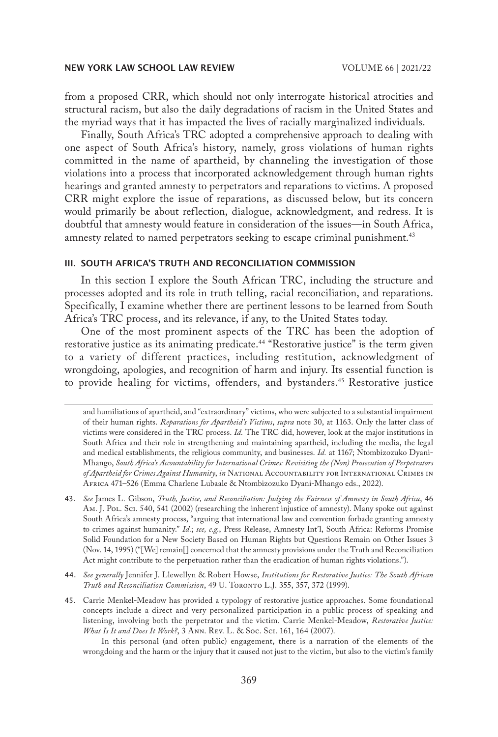from a proposed CRR, which should not only interrogate historical atrocities and structural racism, but also the daily degradations of racism in the United States and the myriad ways that it has impacted the lives of racially marginalized individuals.

Finally, South Africa's TRC adopted a comprehensive approach to dealing with one aspect of South Africa's history, namely, gross violations of human rights committed in the name of apartheid, by channeling the investigation of those violations into a process that incorporated acknowledgement through human rights hearings and granted amnesty to perpetrators and reparations to victims. A proposed CRR might explore the issue of reparations, as discussed below, but its concern would primarily be about reflection, dialogue, acknowledgment, and redress. It is doubtful that amnesty would feature in consideration of the issues—in South Africa, amnesty related to named perpetrators seeking to escape criminal punishment.<sup>43</sup>

## III. SOUTH AFRICA'S TRUTH AND RECONCILIATION COMMISSION

In this section I explore the South African TRC, including the structure and processes adopted and its role in truth telling, racial reconciliation, and reparations. Specifically, I examine whether there are pertinent lessons to be learned from South Africa's TRC process, and its relevance, if any, to the United States today.

One of the most prominent aspects of the TRC has been the adoption of restorative justice as its animating predicate.44 "Restorative justice" is the term given to a variety of different practices, including restitution, acknowledgment of wrongdoing, apologies, and recognition of harm and injury. Its essential function is to provide healing for victims, offenders, and bystanders.<sup>45</sup> Restorative justice

- 44. *See generally* Jennifer J. Llewellyn & Robert Howse, *Institutions for Restorative Justice: The South African Truth and Reconciliation Commission*, 49 U. Toronto L.J. 355, 357, 372 (1999).
- 45. Carrie Menkel-Meadow has provided a typology of restorative justice approaches. Some foundational concepts include a direct and very personalized participation in a public process of speaking and listening, involving both the perpetrator and the victim. Carrie Menkel-Meadow, *Restorative Justice: What Is It and Does It Work?*, 3 Ann. Rev. L. & Soc. Sci. 161, 164 (2007).

In this personal (and often public) engagement, there is a narration of the elements of the wrongdoing and the harm or the injury that it caused not just to the victim, but also to the victim's family

and humiliations of apartheid, and "extraordinary" victims, who were subjected to a substantial impairment of their human rights. *Reparations for Apartheid's Victims*, *supra* note 30, at 1163. Only the latter class of victims were considered in the TRC process. *Id.* The TRC did, however, look at the major institutions in South Africa and their role in strengthening and maintaining apartheid, including the media, the legal and medical establishments, the religious community, and businesses. *Id.* at 1167; Ntombizozuko Dyani-Mhango, *South Africa's Accountability for International Crimes: Revisiting the (Non) Prosecution of Perpetrators of Apartheid for Crimes Against Humanity*, *in* National Accountability for International Crimes in Africa 471–526 (Emma Charlene Lubaale & Ntombizozuko Dyani-Mhango eds., 2022).

<sup>43.</sup> *See* James L. Gibson, *Truth, Justice, and Reconciliation: Judging the Fairness of Amnesty in South Africa*, 46 Am. J. Pol. Sci. 540, 541 (2002) (researching the inherent injustice of amnesty). Many spoke out against South Africa's amnesty process, "arguing that international law and convention forbade granting amnesty to crimes against humanity." *Id.*; *see, e.g.*, Press Release, Amnesty Int'l, South Africa: Reforms Promise Solid Foundation for a New Society Based on Human Rights but Questions Remain on Other Issues 3 (Nov. 14, 1995) ("[We] remain[] concerned that the amnesty provisions under the Truth and Reconciliation Act might contribute to the perpetuation rather than the eradication of human rights violations.").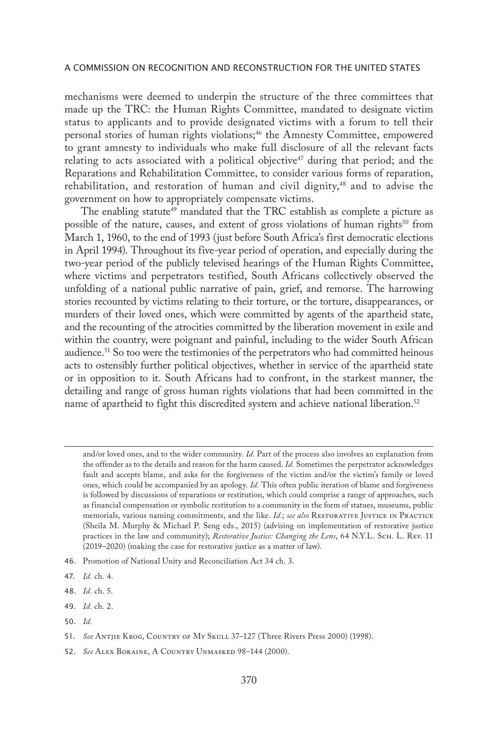mechanisms were deemed to underpin the structure of the three committees that made up the TRC: the Human Rights Committee, mandated to designate victim status to applicants and to provide designated victims with a forum to tell their personal stories of human rights violations;<sup>46</sup> the Amnesty Committee, empowered to grant amnesty to individuals who make full disclosure of all the relevant facts relating to acts associated with a political objective<sup>47</sup> during that period; and the Reparations and Rehabilitation Committee, to consider various forms of reparation, rehabilitation, and restoration of human and civil dignity,<sup>48</sup> and to advise the government on how to appropriately compensate victims.

The enabling statute<sup>49</sup> mandated that the TRC establish as complete a picture as possible of the nature, causes, and extent of gross violations of human rights<sup>50</sup> from March 1, 1960, to the end of 1993 (just before South Africa's first democratic elections in April 1994). Throughout its five-year period of operation, and especially during the two-year period of the publicly televised hearings of the Human Rights Committee, where victims and perpetrators testified, South Africans collectively observed the unfolding of a national public narrative of pain, grief, and remorse. The harrowing stories recounted by victims relating to their torture, or the torture, disappearances, or murders of their loved ones, which were committed by agents of the apartheid state, and the recounting of the atrocities committed by the liberation movement in exile and within the country, were poignant and painful, including to the wider South African audience.51 So too were the testimonies of the perpetrators who had committed heinous acts to ostensibly further political objectives, whether in service of the apartheid state or in opposition to it. South Africans had to confront, in the starkest manner, the detailing and range of gross human rights violations that had been committed in the name of apartheid to fight this discredited system and achieve national liberation.<sup>52</sup>

50. *Id.*

and/or loved ones, and to the wider community. *Id.* Part of the process also involves an explanation from the offender as to the details and reason for the harm caused. *Id.* Sometimes the perpetrator acknowledges fault and accepts blame, and asks for the forgiveness of the victim and/or the victim's family or loved ones, which could be accompanied by an apology. *Id.* This often public iteration of blame and forgiveness is followed by discussions of reparations or restitution, which could comprise a range of approaches, such as financial compensation or symbolic restitution to a community in the form of statues, museums, public memorials, various naming commitments, and the like. *Id.*; *see also* Restorative Justice in Practice (Sheila M. Murphy & Michael P. Seng eds., 2015) (advising on implementation of restorative justice practices in the law and community); *Restorative Justice: Changing the Lens*, 64 N.Y.L. ScH. L. Rev. 11 (2019–2020) (making the case for restorative justice as a matter of law).

<sup>46.</sup> Promotion of National Unity and Reconciliation Act 34 ch. 3.

<sup>47.</sup> *Id.* ch. 4.

<sup>48.</sup> *Id.* ch. 5.

<sup>49.</sup> *Id.* ch. 2.

<sup>51.</sup> *See* Antjie Krog, Country of My Skull 37–127 (Three Rivers Press 2000) (1998).

<sup>52.</sup> *See* Alex Boraine, A Country Unmasked 98–144 (2000).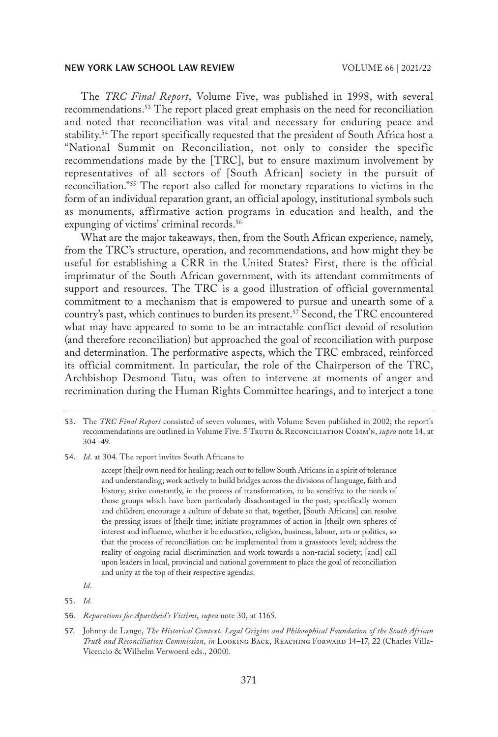The *TRC Final Report*, Volume Five, was published in 1998, with several recommendations.53 The report placed great emphasis on the need for reconciliation and noted that reconciliation was vital and necessary for enduring peace and stability.<sup>54</sup> The report specifically requested that the president of South Africa host a "National Summit on Reconciliation, not only to consider the specific recommendations made by the [TRC], but to ensure maximum involvement by representatives of all sectors of [South African] society in the pursuit of reconciliation."55 The report also called for monetary reparations to victims in the form of an individual reparation grant, an official apology, institutional symbols such as monuments, affirmative action programs in education and health, and the expunging of victims' criminal records.<sup>56</sup>

What are the major takeaways, then, from the South African experience, namely, from the TRC's structure, operation, and recommendations, and how might they be useful for establishing a CRR in the United States? First, there is the official imprimatur of the South African government, with its attendant commitments of support and resources. The TRC is a good illustration of official governmental commitment to a mechanism that is empowered to pursue and unearth some of a country's past, which continues to burden its present.<sup>57</sup> Second, the TRC encountered what may have appeared to some to be an intractable conflict devoid of resolution (and therefore reconciliation) but approached the goal of reconciliation with purpose and determination. The performative aspects, which the TRC embraced, reinforced its official commitment. In particular, the role of the Chairperson of the TRC, Archbishop Desmond Tutu, was often to intervene at moments of anger and recrimination during the Human Rights Committee hearings, and to interject a tone

54. *Id.* at 304*.* The report invites South Africans to

55. *Id.*

<sup>53.</sup> The *TRC Final Report* consisted of seven volumes, with Volume Seven published in 2002; the report's recommendations are outlined in Volume Five. 5 Truth & Reconciliation Comm'n, *supra* note 14, at 304–49.

accept [thei]r own need for healing; reach out to fellow South Africans in a spirit of tolerance and understanding; work actively to build bridges across the divisions of language, faith and history; strive constantly, in the process of transformation, to be sensitive to the needs of those groups which have been particularly disadvantaged in the past, specifically women and children; encourage a culture of debate so that, together, [South Africans] can resolve the pressing issues of [thei]r time; initiate programmes of action in [thei]r own spheres of interest and influence, whether it be education, religion, business, labour, arts or politics, so that the process of reconciliation can be implemented from a grassroots level; address the reality of ongoing racial discrimination and work towards a non-racial society; [and] call upon leaders in local, provincial and national government to place the goal of reconciliation and unity at the top of their respective agendas.

*Id.*

<sup>56.</sup> *Reparations for Apartheid's Victims*, *supra* note 30, at 1165.

<sup>57.</sup> Johnny de Lange, *The Historical Context, Legal Origins and Philosophical Foundation of the South African Truth and Reconciliation Commission*, *in* Looking Back, Reaching Forward 14–17, 22 (Charles Villa-Vicencio & Wilhelm Verwoerd eds., 2000).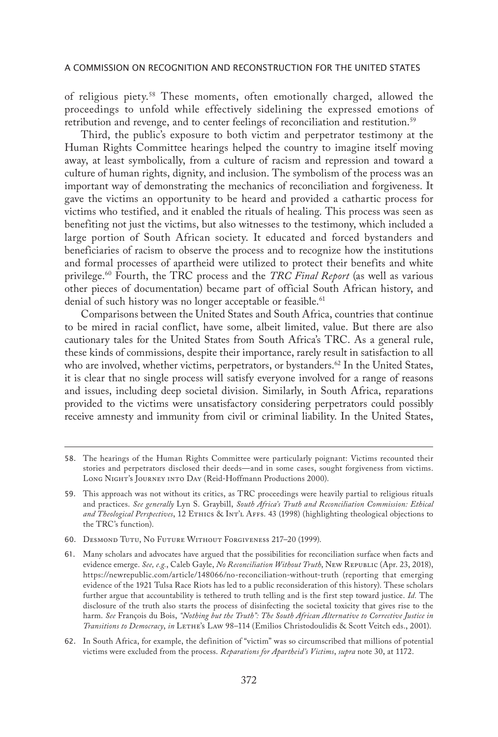of religious piety.58 These moments, often emotionally charged, allowed the proceedings to unfold while effectively sidelining the expressed emotions of retribution and revenge, and to center feelings of reconciliation and restitution.<sup>59</sup>

Third, the public's exposure to both victim and perpetrator testimony at the Human Rights Committee hearings helped the country to imagine itself moving away, at least symbolically, from a culture of racism and repression and toward a culture of human rights, dignity, and inclusion. The symbolism of the process was an important way of demonstrating the mechanics of reconciliation and forgiveness. It gave the victims an opportunity to be heard and provided a cathartic process for victims who testified, and it enabled the rituals of healing. This process was seen as benefiting not just the victims, but also witnesses to the testimony, which included a large portion of South African society. It educated and forced bystanders and beneficiaries of racism to observe the process and to recognize how the institutions and formal processes of apartheid were utilized to protect their benefits and white privilege.60 Fourth, the TRC process and the *TRC Final Report* (as well as various other pieces of documentation) became part of official South African history, and denial of such history was no longer acceptable or feasible.<sup>61</sup>

Comparisons between the United States and South Africa, countries that continue to be mired in racial conflict, have some, albeit limited, value. But there are also cautionary tales for the United States from South Africa's TRC. As a general rule, these kinds of commissions, despite their importance, rarely result in satisfaction to all who are involved, whether victims, perpetrators, or bystanders.<sup>62</sup> In the United States, it is clear that no single process will satisfy everyone involved for a range of reasons and issues, including deep societal division. Similarly, in South Africa, reparations provided to the victims were unsatisfactory considering perpetrators could possibly receive amnesty and immunity from civil or criminal liability. In the United States,

60. Desmond Tutu, No Future Without Forgiveness 217–20 (1999).

<sup>58.</sup> The hearings of the Human Rights Committee were particularly poignant: Victims recounted their stories and perpetrators disclosed their deeds—and in some cases, sought forgiveness from victims. Long NIGHT's JOURNEY INTO DAY (Reid-Hoffmann Productions 2000).

<sup>59.</sup> This approach was not without its critics, as TRC proceedings were heavily partial to religious rituals and practices. *See generally* Lyn S. Graybill, *South Africa's Truth and Reconciliation Commission: Ethical and Theological Perspectives*, 12 Ethics & Int'l Affs. 43 (1998) (highlighting theological objections to the TRC's function).

<sup>61.</sup> Many scholars and advocates have argued that the possibilities for reconciliation surface when facts and evidence emerge. *See, e.g.*, Caleb Gayle, *No Reconciliation Without Truth*, New Republic (Apr. 23, 2018), https://newrepublic.com/article/148066/no-reconciliation-without-truth (reporting that emerging evidence of the 1921 Tulsa Race Riots has led to a public reconsideration of this history). These scholars further argue that accountability is tethered to truth telling and is the first step toward justice. *Id.* The disclosure of the truth also starts the process of disinfecting the societal toxicity that gives rise to the harm. *See* François du Bois, *"Nothing but the Truth": The South African Alternative to Corrective Justice in Transitions to Democracy*, *in* Lethe's Law 98–114 (Emilios Christodoulidis & Scott Veitch eds., 2001).

<sup>62.</sup> In South Africa, for example, the definition of "victim" was so circumscribed that millions of potential victims were excluded from the process. *Reparations for Apartheid's Victims*, *supra* note 30, at 1172.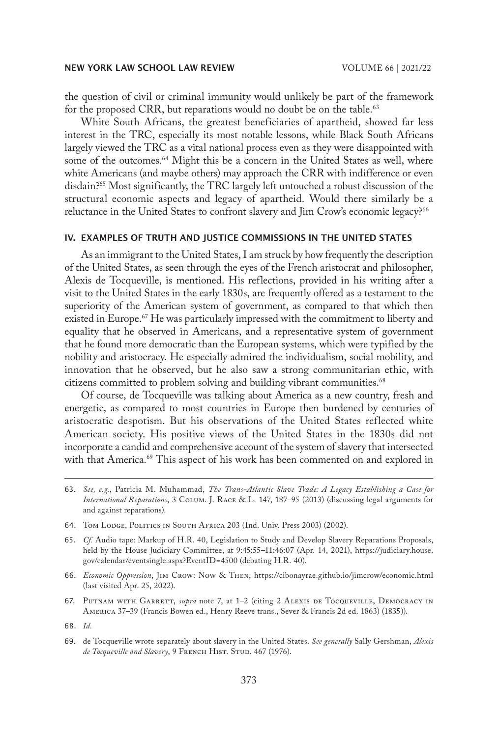the question of civil or criminal immunity would unlikely be part of the framework for the proposed CRR, but reparations would no doubt be on the table.<sup>63</sup>

White South Africans, the greatest beneficiaries of apartheid, showed far less interest in the TRC, especially its most notable lessons, while Black South Africans largely viewed the TRC as a vital national process even as they were disappointed with some of the outcomes.<sup>64</sup> Might this be a concern in the United States as well, where white Americans (and maybe others) may approach the CRR with indifference or even disdain?65 Most significantly, the TRC largely left untouched a robust discussion of the structural economic aspects and legacy of apartheid. Would there similarly be a reluctance in the United States to confront slavery and Jim Crow's economic legacy?<sup>66</sup>

## IV. EXAMPLES OF TRUTH AND JUSTICE COMMISSIONS IN THE UNITED STATES

As an immigrant to the United States, I am struck by how frequently the description of the United States, as seen through the eyes of the French aristocrat and philosopher, Alexis de Tocqueville, is mentioned. His reflections, provided in his writing after a visit to the United States in the early 1830s, are frequently offered as a testament to the superiority of the American system of government, as compared to that which then existed in Europe.<sup>67</sup> He was particularly impressed with the commitment to liberty and equality that he observed in Americans, and a representative system of government that he found more democratic than the European systems, which were typified by the nobility and aristocracy. He especially admired the individualism, social mobility, and innovation that he observed, but he also saw a strong communitarian ethic, with citizens committed to problem solving and building vibrant communities.<sup>68</sup>

Of course, de Tocqueville was talking about America as a new country, fresh and energetic, as compared to most countries in Europe then burdened by centuries of aristocratic despotism. But his observations of the United States reflected white American society. His positive views of the United States in the 1830s did not incorporate a candid and comprehensive account of the system of slavery that intersected with that America.<sup>69</sup> This aspect of his work has been commented on and explored in

- 66. *Economic Oppression*, Jim Crow: Now & Then, https://cibonayrae.github.io/jimcrow/economic.html (last visited Apr. 25, 2022).
- 67. Putnam with Garrett, *supra* note 7, at 1–2 (citing 2 Alexis de Tocqueville, Democracy in America 37–39 (Francis Bowen ed., Henry Reeve trans., Sever & Francis 2d ed. 1863) (1835)).

<sup>63.</sup> *See, e.g.*, Patricia M. Muhammad, *The Trans-Atlantic Slave Trade: A Legacy Establishing a Case for International Reparations*, 3 Colum. J. Race & L. 147, 187–95 (2013) (discussing legal arguments for and against reparations).

<sup>64.</sup> Tom Lodge, Politics in South Africa 203 (Ind. Univ. Press 2003) (2002).

<sup>65.</sup> *Cf.* Audio tape: Markup of H.R. 40, Legislation to Study and Develop Slavery Reparations Proposals, held by the House Judiciary Committee, at 9:45:55–11:46:07 (Apr. 14, 2021), https://judiciary.house. gov/calendar/eventsingle.aspx?EventID=4500 (debating H.R. 40).

<sup>68.</sup> *Id.*

<sup>69.</sup> de Tocqueville wrote separately about slavery in the United States. *See generally* Sally Gershman, *Alexis*  de Tocqueville and Slavery, 9 FRENCH HIST. STUD. 467 (1976).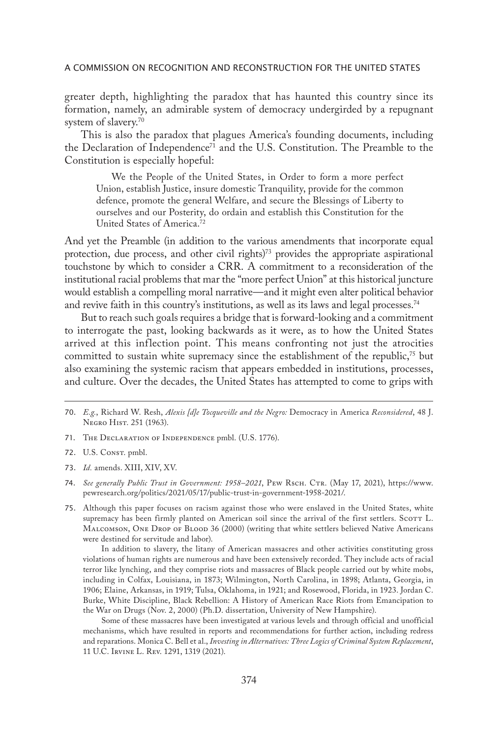greater depth, highlighting the paradox that has haunted this country since its formation, namely, an admirable system of democracy undergirded by a repugnant system of slavery.70

This is also the paradox that plagues America's founding documents, including the Declaration of Independence<sup>71</sup> and the U.S. Constitution. The Preamble to the Constitution is especially hopeful:

We the People of the United States, in Order to form a more perfect Union, establish Justice, insure domestic Tranquility, provide for the common defence, promote the general Welfare, and secure the Blessings of Liberty to ourselves and our Posterity, do ordain and establish this Constitution for the United States of America.72

And yet the Preamble (in addition to the various amendments that incorporate equal protection, due process, and other civil rights)<sup>73</sup> provides the appropriate aspirational touchstone by which to consider a CRR. A commitment to a reconsideration of the institutional racial problems that mar the "more perfect Union" at this historical juncture would establish a compelling moral narrative—and it might even alter political behavior and revive faith in this country's institutions, as well as its laws and legal processes.<sup>74</sup>

But to reach such goals requires a bridge that is forward-looking and a commitment to interrogate the past, looking backwards as it were, as to how the United States arrived at this inflection point. This means confronting not just the atrocities committed to sustain white supremacy since the establishment of the republic, $^{75}$  but also examining the systemic racism that appears embedded in institutions, processes, and culture. Over the decades, the United States has attempted to come to grips with

- 73. *Id.* amends. XIII, XIV, XV.
- 74. *See generally Public Trust in Government: 1958–2021*, Pew Rsch. Ctr. (May 17, 2021), https://www. pewresearch.org/politics/2021/05/17/public-trust-in-government-1958-2021/.
- 75. Although this paper focuses on racism against those who were enslaved in the United States, white supremacy has been firmly planted on American soil since the arrival of the first settlers. Scorr L. Malcomson, One Drop of Blood 36 (2000) (writing that white settlers believed Native Americans were destined for servitude and labor).

In addition to slavery, the litany of American massacres and other activities constituting gross violations of human rights are numerous and have been extensively recorded. They include acts of racial terror like lynching, and they comprise riots and massacres of Black people carried out by white mobs, including in Colfax, Louisiana, in 1873; Wilmington, North Carolina, in 1898; Atlanta, Georgia, in 1906; Elaine, Arkansas, in 1919; Tulsa, Oklahoma, in 1921; and Rosewood, Florida, in 1923. Jordan C. Burke, White Discipline, Black Rebellion: A History of American Race Riots from Emancipation to the War on Drugs (Nov. 2, 2000) (Ph.D. dissertation, University of New Hampshire).

Some of these massacres have been investigated at various levels and through official and unofficial mechanisms, which have resulted in reports and recommendations for further action, including redress and reparations. Monica C. Bell et al., *Investing in Alternatives: Three Logics of Criminal System Replacement*, 11 U.C. Irvine L. Rev. 1291, 1319 (2021).

<sup>70.</sup> *E.g.*, Richard W. Resh, *Alexis [d]e Tocqueville and the Negro:* Democracy in America *Reconsidered*, 48 J. Negro Hist. 251 (1963).

<sup>71.</sup> The Declaration of Independence pmbl. (U.S. 1776).

<sup>72.</sup> U.S. Const. pmbl.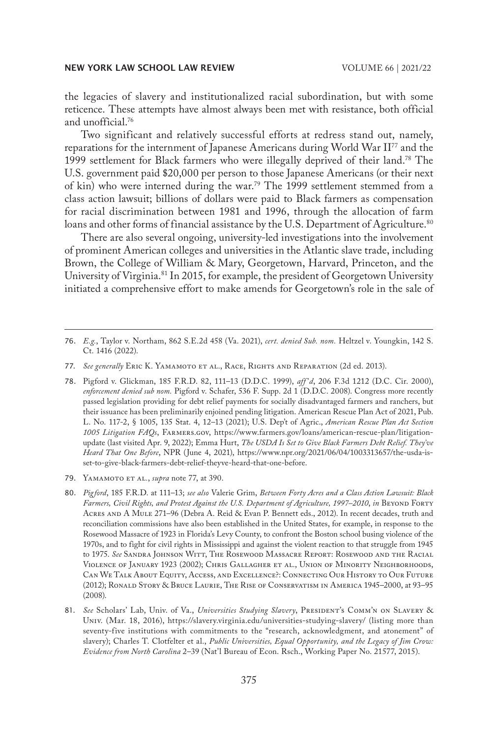the legacies of slavery and institutionalized racial subordination, but with some reticence. These attempts have almost always been met with resistance, both official and unofficial.76

Two significant and relatively successful efforts at redress stand out, namely, reparations for the internment of Japanese Americans during World War II77 and the 1999 settlement for Black farmers who were illegally deprived of their land.78 The U.S. government paid \$20,000 per person to those Japanese Americans (or their next of kin) who were interned during the war.<sup>79</sup> The 1999 settlement stemmed from a class action lawsuit; billions of dollars were paid to Black farmers as compensation for racial discrimination between 1981 and 1996, through the allocation of farm loans and other forms of financial assistance by the U.S. Department of Agriculture.<sup>80</sup>

There are also several ongoing, university-led investigations into the involvement of prominent American colleges and universities in the Atlantic slave trade, including Brown, the College of William & Mary, Georgetown, Harvard, Princeton, and the University of Virginia.<sup>81</sup> In 2015, for example, the president of Georgetown University initiated a comprehensive effort to make amends for Georgetown's role in the sale of

78. Pigford v. Glickman, 185 F.R.D. 82, 111–13 (D.D.C. 1999), *aff 'd*, 206 F.3d 1212 (D.C. Cir. 2000), *enforcement denied sub nom.* Pigford v. Schafer, 536 F. Supp. 2d 1 (D.D.C. 2008). Congress more recently passed legislation providing for debt relief payments for socially disadvantaged farmers and ranchers, but their issuance has been preliminarily enjoined pending litigation. American Rescue Plan Act of 2021, Pub. L. No. 117-2, § 1005, 135 Stat. 4, 12–13 (2021); U.S. Dep't of Agric., *American Rescue Plan Act Section 1005 Litigation FAQs*, Farmers.gov, https://www.farmers.gov/loans/american-rescue-plan/litigationupdate (last visited Apr. 9, 2022); Emma Hurt, *The USDA Is Set to Give Black Farmers Debt Relief. They've Heard That One Before*, NPR (June 4, 2021), https://www.npr.org/2021/06/04/1003313657/the-usda-isset-to-give-black-farmers-debt-relief-theyve-heard-that-one-before.

81. See Scholars' Lab, Univ. of Va., Universities Studying Slavery, PRESIDENT's COMM'N ON SLAVERY & Univ. (Mar. 18, 2016), https://slavery.virginia.edu/universities-studying-slavery/ (listing more than seventy-five institutions with commitments to the "research, acknowledgment, and atonement" of slavery); Charles T. Clotfelter et al., *Public Universities, Equal Opportunity, and the Legacy of Jim Crow: Evidence from North Carolina* 2–39 (Nat'l Bureau of Econ. Rsch., Working Paper No. 21577, 2015).

<sup>76.</sup> *E.g.*, Taylor v. Northam, 862 S.E.2d 458 (Va. 2021), *cert. denied Sub. nom.* Heltzel v. Youngkin, 142 S. Ct. 1416 (2022).

<sup>77.</sup> See generally ERIC K. YAMAMOTO ET AL., RACE, RIGHTS AND REPARATION (2d ed. 2013).

<sup>79.</sup> **YAMAMOTO ET AL.**, *supra* note 77, at 390.

<sup>80.</sup> *Pigford*, 185 F.R.D. at 111–13; *see also* Valerie Grim, *Between Forty Acres and a Class Action Lawsuit: Black Farmers, Civil Rights, and Protest Against the U.S. Department of Agriculture, 1997–2010*, *in* Beyond Forty Acres and A Mule 271–96 (Debra A. Reid & Evan P. Bennett eds., 2012). In recent decades, truth and reconciliation commissions have also been established in the United States, for example, in response to the Rosewood Massacre of 1923 in Florida's Levy County, to confront the Boston school busing violence of the 1970s, and to fight for civil rights in Mississippi and against the violent reaction to that struggle from 1945 to 1975. *See* Sandra Johnson Witt, The Rosewood Massacre Report: Rosewood and the Racial Violence of January 1923 (2002); Chris Gallagher et al., Union of Minority Neighborhoods, Can We Talk About Equity, Access, and Excellence?: Connecting Our History to Our Future (2012); Ronald Story & Bruce Laurie, The Rise of Conservatism in America 1945–2000, at 93–95 (2008).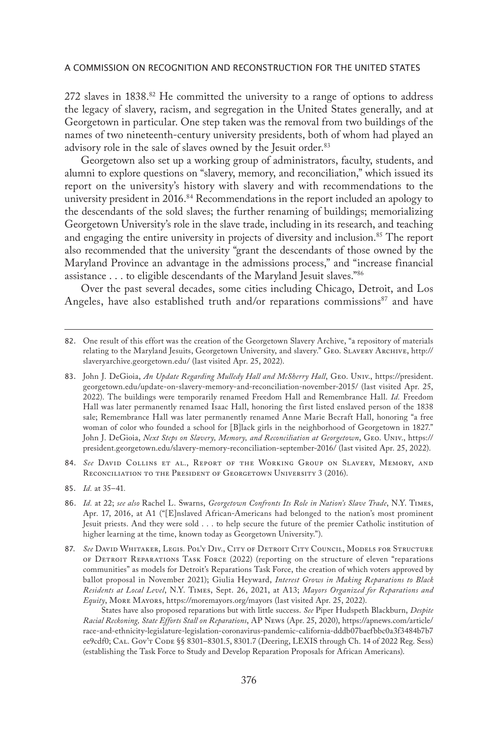272 slaves in  $1838^{82}$  He committed the university to a range of options to address the legacy of slavery, racism, and segregation in the United States generally, and at Georgetown in particular. One step taken was the removal from two buildings of the names of two nineteenth-century university presidents, both of whom had played an advisory role in the sale of slaves owned by the Jesuit order.<sup>83</sup>

Georgetown also set up a working group of administrators, faculty, students, and alumni to explore questions on "slavery, memory, and reconciliation," which issued its report on the university's history with slavery and with recommendations to the university president in 2016.<sup>84</sup> Recommendations in the report included an apology to the descendants of the sold slaves; the further renaming of buildings; memorializing Georgetown University's role in the slave trade, including in its research, and teaching and engaging the entire university in projects of diversity and inclusion.<sup>85</sup> The report also recommended that the university "grant the descendants of those owned by the Maryland Province an advantage in the admissions process," and "increase financial assistance . . . to eligible descendants of the Maryland Jesuit slaves."86

Over the past several decades, some cities including Chicago, Detroit, and Los Angeles, have also established truth and/or reparations commissions<sup>87</sup> and have

85. *Id.* at 35–41*.*

<sup>82.</sup> One result of this effort was the creation of the Georgetown Slavery Archive, "a repository of materials relating to the Maryland Jesuits, Georgetown University, and slavery." Geo. Slavery Archive, http:// slaveryarchive.georgetown.edu/ (last visited Apr. 25, 2022).

<sup>83.</sup> John J. DeGioia, *An Update Regarding Mulledy Hall and McSherry Hall*, Geo. Univ., https://president. georgetown.edu/update-on-slavery-memory-and-reconciliation-november-2015/ (last visited Apr. 25, 2022). The buildings were temporarily renamed Freedom Hall and Remembrance Hall. *Id.* Freedom Hall was later permanently renamed Isaac Hall, honoring the first listed enslaved person of the 1838 sale; Remembrance Hall was later permanently renamed Anne Marie Becraft Hall, honoring "a free woman of color who founded a school for [B]lack girls in the neighborhood of Georgetown in 1827." John J. DeGioia, *Next Steps on Slavery, Memory, and Reconciliation at Georgetown*, Geo. Univ., https:// president.georgetown.edu/slavery-memory-reconciliation-september-2016/ (last visited Apr. 25, 2022).

<sup>84.</sup> *See* David Collins et al., Report of the Working Group on Slavery, Memory, and RECONCILIATION TO THE PRESIDENT OF GEORGETOWN UNIVERSITY 3 (2016).

<sup>86.</sup> *Id.* at 22; *see also* Rachel L. Swarns, *Georgetown Confronts Its Role in Nation's Slave Trade*, N.Y. Times, Apr. 17, 2016, at A1 ("[E]nslaved African-Americans had belonged to the nation's most prominent Jesuit priests. And they were sold . . . to help secure the future of the premier Catholic institution of higher learning at the time, known today as Georgetown University.").

<sup>87.</sup> *See* David Whitaker, Legis. Pol'y Div., City of Detroit City Council, Models for Structure of Detroit Reparations Task Force (2022) (reporting on the structure of eleven "reparations communities" as models for Detroit's Reparations Task Force, the creation of which voters approved by ballot proposal in November 2021); Giulia Heyward, *Interest Grows in Making Reparations to Black Residents at Local Level*, N.Y. Times, Sept. 26, 2021, at A13; *Mayors Organized for Reparations and Equity*, More Mayors, https://moremayors.org/mayors (last visited Apr. 25, 2022).

States have also proposed reparations but with little success. *See* Piper Hudspeth Blackburn, *Despite Racial Reckoning, State Efforts Stall on Reparations*, AP News (Apr. 25, 2020), https://apnews.com/article/ race-and-ethnicity-legislature-legislation-coronavirus-pandemic-california-dddb07baefbbc0a3f3484b7b7 ee9cdf0; CAL. Gov't Code §§ 8301-8301.5, 8301.7 (Deering, LEXIS through Ch. 14 of 2022 Reg. Sess) (establishing the Task Force to Study and Develop Reparation Proposals for African Americans).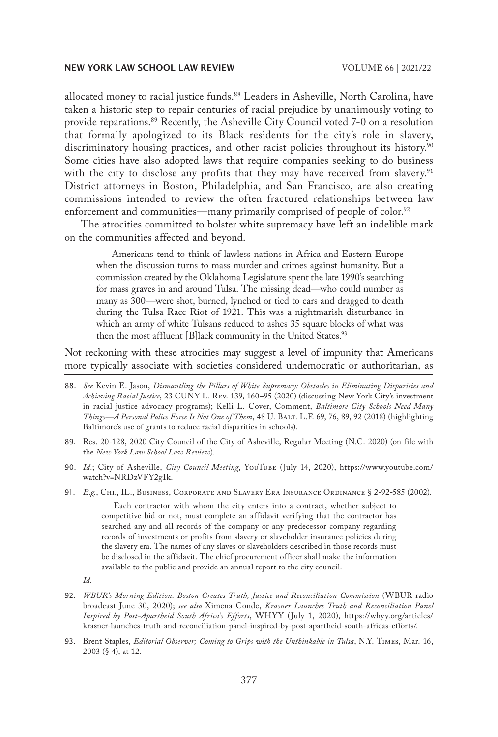allocated money to racial justice funds.88 Leaders in Asheville, North Carolina, have taken a historic step to repair centuries of racial prejudice by unanimously voting to provide reparations.<sup>89</sup> Recently, the Asheville City Council voted 7-0 on a resolution that formally apologized to its Black residents for the city's role in slavery, discriminatory housing practices, and other racist policies throughout its history.<sup>90</sup> Some cities have also adopted laws that require companies seeking to do business with the city to disclose any profits that they may have received from slavery.<sup>91</sup> District attorneys in Boston, Philadelphia, and San Francisco, are also creating commissions intended to review the often fractured relationships between law enforcement and communities—many primarily comprised of people of color.<sup>92</sup>

The atrocities committed to bolster white supremacy have left an indelible mark on the communities affected and beyond.

Americans tend to think of lawless nations in Africa and Eastern Europe when the discussion turns to mass murder and crimes against humanity. But a commission created by the Oklahoma Legislature spent the late 1990's searching for mass graves in and around Tulsa. The missing dead—who could number as many as 300—were shot, burned, lynched or tied to cars and dragged to death during the Tulsa Race Riot of 1921. This was a nightmarish disturbance in which an army of white Tulsans reduced to ashes 35 square blocks of what was then the most affluent [B]lack community in the United States.<sup>93</sup>

Not reckoning with these atrocities may suggest a level of impunity that Americans more typically associate with societies considered undemocratic or authoritarian, as

- 88. *See* Kevin E. Jason, *Dismantling the Pillars of White Supremacy: Obstacles in Eliminating Disparities and Achieving Racial Justice*, 23 CUNY L. Rev. 139, 160–95 (2020) (discussing New York City's investment in racial justice advocacy programs); Kelli L. Cover, Comment, *Baltimore City Schools Need Many Things—A Personal Police Force Is Not One of Them*, 48 U. Balt. L.F. 69, 76, 89, 92 (2018) (highlighting Baltimore's use of grants to reduce racial disparities in schools).
- 89. Res. 20-128, 2020 City Council of the City of Asheville, Regular Meeting (N.C. 2020) (on file with the *New York Law School Law Review*).
- 90. *Id.*; City of Asheville, *City Council Meeting*, YouTube (July 14, 2020), https://www.youtube.com/ watch?v=NRDzVFY2g1k.
- 91. *E.g.*, Chi., IL., Business, Corporate and Slavery Era Insurance Ordinance § 2-92-585 (2002).

Each contractor with whom the city enters into a contract, whether subject to competitive bid or not, must complete an affidavit verifying that the contractor has searched any and all records of the company or any predecessor company regarding records of investments or profits from slavery or slaveholder insurance policies during the slavery era. The names of any slaves or slaveholders described in those records must be disclosed in the affidavit. The chief procurement officer shall make the information available to the public and provide an annual report to the city council.

- *Id.*
- 92. *WBUR's Morning Edition: Boston Creates Truth, Justice and Reconciliation Commission* (WBUR radio broadcast June 30, 2020); *see also* Ximena Conde, *Krasner Launches Truth and Reconciliation Panel Inspired by Post-Apartheid South Africa's Efforts*, WHYY (July 1, 2020), https://whyy.org/articles/ krasner-launches-truth-and-reconciliation-panel-inspired-by-post-apartheid-south-africas-efforts/.
- 93. Brent Staples, *Editorial Observer; Coming to Grips with the Unthinkable in Tulsa*, N.Y. Times, Mar. 16, 2003 (§ 4), at 12.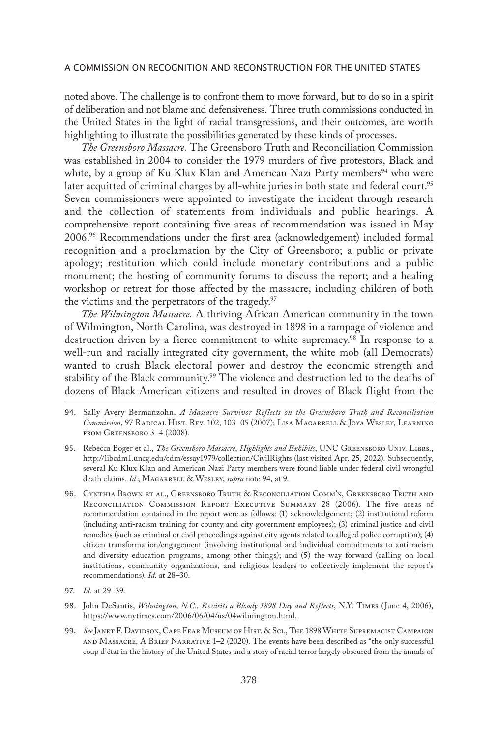noted above. The challenge is to confront them to move forward, but to do so in a spirit of deliberation and not blame and defensiveness. Three truth commissions conducted in the United States in the light of racial transgressions, and their outcomes, are worth highlighting to illustrate the possibilities generated by these kinds of processes.

*The Greensboro Massacre.* The Greensboro Truth and Reconciliation Commission was established in 2004 to consider the 1979 murders of five protestors, Black and white, by a group of Ku Klux Klan and American Nazi Party members<sup>94</sup> who were later acquitted of criminal charges by all-white juries in both state and federal court.<sup>95</sup> Seven commissioners were appointed to investigate the incident through research and the collection of statements from individuals and public hearings. A comprehensive report containing five areas of recommendation was issued in May 2006.96 Recommendations under the first area (acknowledgement) included formal recognition and a proclamation by the City of Greensboro; a public or private apology; restitution which could include monetary contributions and a public monument; the hosting of community forums to discuss the report; and a healing workshop or retreat for those affected by the massacre, including children of both the victims and the perpetrators of the tragedy.<sup>97</sup>

*The Wilmington Massacre.* A thriving African American community in the town of Wilmington, North Carolina, was destroyed in 1898 in a rampage of violence and destruction driven by a fierce commitment to white supremacy.<sup>98</sup> In response to a well-run and racially integrated city government, the white mob (all Democrats) wanted to crush Black electoral power and destroy the economic strength and stability of the Black community.<sup>99</sup> The violence and destruction led to the deaths of dozens of Black American citizens and resulted in droves of Black flight from the

- 94. Sally Avery Bermanzohn, *A Massacre Survivor Reflects on the Greensboro Truth and Reconciliation Commission*, 97 Radical Hist. Rev. 102, 103–05 (2007); Lisa Magarrell & Joya Wesley, Learning FROM GREENSBORO 3-4 (2008).
- 95. Rebecca Boger et al., *The Greensboro Massacre*, *Highlights and Exhibits*, UNC Greensboro Univ. Librs., http://libcdm1.uncg.edu/cdm/essay1979/collection/CivilRights (last visited Apr. 25, 2022). Subsequently, several Ku Klux Klan and American Nazi Party members were found liable under federal civil wrongful death claims. *Id.*; MAGARRELL & WESLEY, *supra* note 94, at 9.
- 96. Cynthia Brown et al., Greensboro Truth & Reconciliation Comm'n, Greensboro Truth and Reconciliation Commission Report Executive Summary 28 (2006). The five areas of recommendation contained in the report were as follows: (1) acknowledgement; (2) institutional reform (including anti-racism training for county and city government employees); (3) criminal justice and civil remedies (such as criminal or civil proceedings against city agents related to alleged police corruption); (4) citizen transformation/engagement (involving institutional and individual commitments to anti-racism and diversity education programs, among other things); and (5) the way forward (calling on local institutions, community organizations, and religious leaders to collectively implement the report's recommendations)*. Id.* at 28–30.
- 97. *Id.* at 29–39.
- 98. John DeSantis, *Wilmington, N.C., Revisits a Bloody 1898 Day and Reflects*, N.Y. Times (June 4, 2006), https://www.nytimes.com/2006/06/04/us/04wilmington.html.
- 99. *See* Janet F. Davidson, Cape Fear Museum of Hist. & Sci., The 1898 White Supremacist Campaign and Massacre, A Brief Narrative 1–2 (2020). The events have been described as "the only successful coup d'état in the history of the United States and a story of racial terror largely obscured from the annals of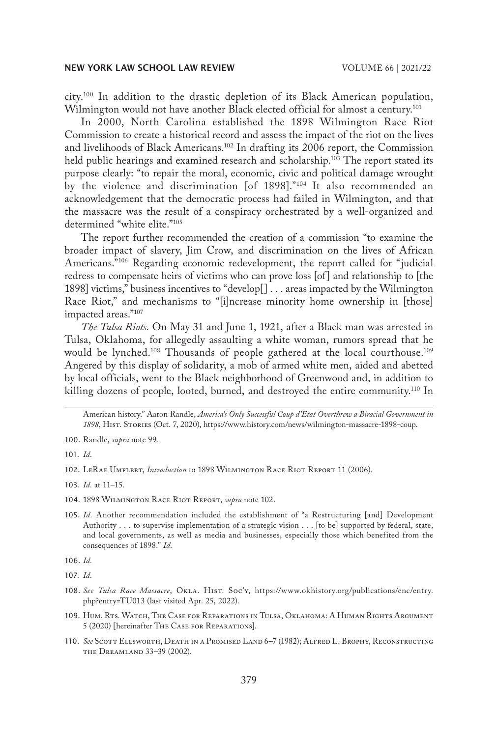city.100 In addition to the drastic depletion of its Black American population, Wilmington would not have another Black elected official for almost a century.<sup>101</sup>

In 2000, North Carolina established the 1898 Wilmington Race Riot Commission to create a historical record and assess the impact of the riot on the lives and livelihoods of Black Americans.102 In drafting its 2006 report, the Commission held public hearings and examined research and scholarship.<sup>103</sup> The report stated its purpose clearly: "to repair the moral, economic, civic and political damage wrought by the violence and discrimination [of 1898]."<sup>104</sup> It also recommended an acknowledgement that the democratic process had failed in Wilmington, and that the massacre was the result of a conspiracy orchestrated by a well-organized and determined "white elite."105

The report further recommended the creation of a commission "to examine the broader impact of slavery, Jim Crow, and discrimination on the lives of African Americans."106 Regarding economic redevelopment, the report called for "judicial redress to compensate heirs of victims who can prove loss [of] and relationship to [the 1898] victims," business incentives to "develop[] . . . areas impacted by the Wilmington Race Riot," and mechanisms to "[i]ncrease minority home ownership in [those] impacted areas."107

*The Tulsa Riots.* On May 31 and June 1, 1921, after a Black man was arrested in Tulsa, Oklahoma, for allegedly assaulting a white woman, rumors spread that he would be lynched.<sup>108</sup> Thousands of people gathered at the local courthouse.<sup>109</sup> Angered by this display of solidarity, a mob of armed white men, aided and abetted by local officials, went to the Black neighborhood of Greenwood and, in addition to killing dozens of people, looted, burned, and destroyed the entire community.110 In

American history." Aaron Randle, *America's Only Successful Coup d'Etat Overthrew a Biracial Government in 1898*, Hist. Stories (Oct. 7, 2020), https://www.history.com/news/wilmington-massacre-1898-coup.

101. *Id.*

103. *Id.* at 11–15.

- 104. 1898 Wilmington Race Riot Report, *supra* note 102.
- 105. *Id.* Another recommendation included the establishment of "a Restructuring [and] Development Authority . . . to supervise implementation of a strategic vision . . . [to be] supported by federal, state, and local governments, as well as media and businesses, especially those which benefited from the consequences of 1898." *Id.*

106. *Id.*

107. *Id.*

- 108. *See Tulsa Race Massacre*, Okla. Hist. Soc'y, https://www.okhistory.org/publications/enc/entry. php?entry=TU013 (last visited Apr. 25, 2022).
- 109. Hum. Rts. Watch, The Case for Reparations in Tulsa, Oklahoma: A Human Rights Argument 5 (2020) [hereinafter The Case for Reparations].
- 110. *See* Scott Ellsworth, Death in a Promised Land 6–7 (1982); Alfred L. Brophy, Reconstructing the Dreamland 33–39 (2002).

<sup>100.</sup> Randle, *supra* note 99.

<sup>102.</sup> LeRae Umfleet, *Introduction* to 1898 Wilmington Race Riot Report 11 (2006).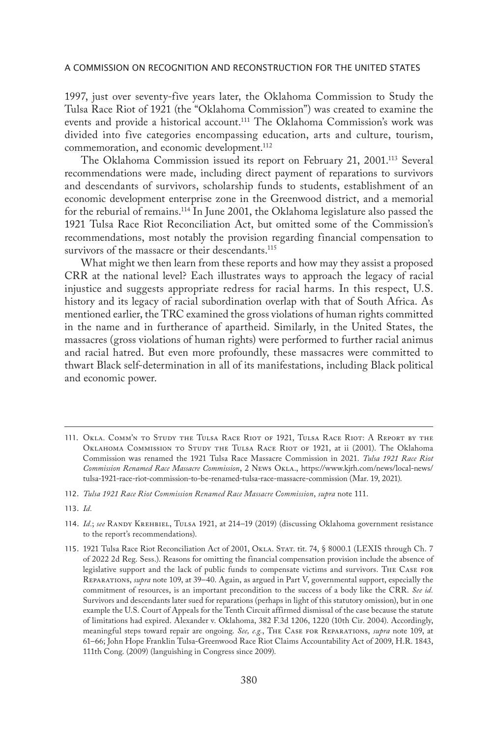1997, just over seventy-five years later, the Oklahoma Commission to Study the Tulsa Race Riot of 1921 (the "Oklahoma Commission") was created to examine the events and provide a historical account.<sup>111</sup> The Oklahoma Commission's work was divided into five categories encompassing education, arts and culture, tourism, commemoration, and economic development.<sup>112</sup>

The Oklahoma Commission issued its report on February 21, 2001.113 Several recommendations were made, including direct payment of reparations to survivors and descendants of survivors, scholarship funds to students, establishment of an economic development enterprise zone in the Greenwood district, and a memorial for the reburial of remains.114 In June 2001, the Oklahoma legislature also passed the 1921 Tulsa Race Riot Reconciliation Act, but omitted some of the Commission's recommendations, most notably the provision regarding financial compensation to survivors of the massacre or their descendants.<sup>115</sup>

What might we then learn from these reports and how may they assist a proposed CRR at the national level? Each illustrates ways to approach the legacy of racial injustice and suggests appropriate redress for racial harms. In this respect, U.S. history and its legacy of racial subordination overlap with that of South Africa. As mentioned earlier, the TRC examined the gross violations of human rights committed in the name and in furtherance of apartheid. Similarly, in the United States, the massacres (gross violations of human rights) were performed to further racial animus and racial hatred. But even more profoundly, these massacres were committed to thwart Black self-determination in all of its manifestations, including Black political and economic power.

<sup>111.</sup> Okla. Comm'n to Study the Tulsa Race Riot of 1921, Tulsa Race Riot: A Report by the Oklahoma Commission to Study the Tulsa Race Riot of 1921, at ii (2001). The Oklahoma Commission was renamed the 1921 Tulsa Race Massacre Commission in 2021. *Tulsa 1921 Race Riot Commission Renamed Race Massacre Commission*, 2 News Okla., https://www.kjrh.com/news/local-news/ tulsa-1921-race-riot-commission-to-be-renamed-tulsa-race-massacre-commission (Mar. 19, 2021).

<sup>112.</sup> *Tulsa 1921 Race Riot Commission Renamed Race Massacre Commission*, *supra* note 111.

<sup>113.</sup> *Id.*

<sup>114.</sup> *Id.*; *see* Randy Krehbiel, Tulsa 1921, at 214–19 (2019) (discussing Oklahoma government resistance to the report's recommendations).

<sup>115.</sup> 1921 Tulsa Race Riot Reconciliation Act of 2001, Okla. Stat. tit. 74, § 8000.1 (LEXIS through Ch. 7 of 2022 2d Reg. Sess.). Reasons for omitting the financial compensation provision include the absence of legislative support and the lack of public funds to compensate victims and survivors. The Case for Reparations, *supra* note 109, at 39–40. Again, as argued in Part V, governmental support, especially the commitment of resources, is an important precondition to the success of a body like the CRR. *See id.* Survivors and descendants later sued for reparations (perhaps in light of this statutory omission), but in one example the U.S. Court of Appeals for the Tenth Circuit affirmed dismissal of the case because the statute of limitations had expired. Alexander v. Oklahoma, 382 F.3d 1206, 1220 (10th Cir. 2004). Accordingly, meaningful steps toward repair are ongoing. *See, e.g.*, The Case for Reparations, *supra* note 109, at 61–66; John Hope Franklin Tulsa-Greenwood Race Riot Claims Accountability Act of 2009, H.R. 1843, 111th Cong. (2009) (languishing in Congress since 2009).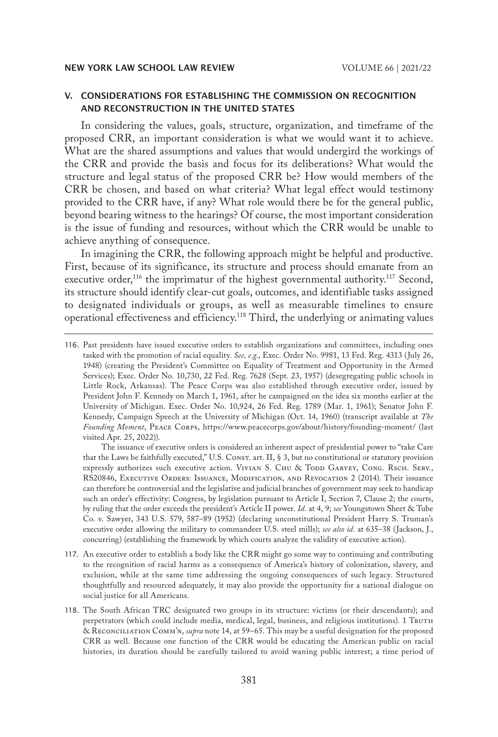# V. CONSIDERATIONS FOR ESTABLISHING THE COMMISSION ON RECOGNITION AND RECONSTRUCTION IN THE UNITED STATES

In considering the values, goals, structure, organization, and timeframe of the proposed CRR, an important consideration is what we would want it to achieve. What are the shared assumptions and values that would undergird the workings of the CRR and provide the basis and focus for its deliberations? What would the structure and legal status of the proposed CRR be? How would members of the CRR be chosen, and based on what criteria? What legal effect would testimony provided to the CRR have, if any? What role would there be for the general public, beyond bearing witness to the hearings? Of course, the most important consideration is the issue of funding and resources, without which the CRR would be unable to achieve anything of consequence.

In imagining the CRR, the following approach might be helpful and productive. First, because of its significance, its structure and process should emanate from an executive order,<sup>116</sup> the imprimatur of the highest governmental authority.<sup>117</sup> Second, its structure should identify clear-cut goals, outcomes, and identifiable tasks assigned to designated individuals or groups, as well as measurable timelines to ensure operational effectiveness and efficiency.118 Third, the underlying or animating values

The issuance of executive orders is considered an inherent aspect of presidential power to "take Care that the Laws be faithfully executed," U.S. CONST. art. II, § 3, but no constitutional or statutory provision expressly authorizes such executive action. VIVIAN S. CHU & TODD GARVEY, CONG. RSCH. SERV., RS20846, EXECUTIVE ORDERS: ISSUANCE, MODIFICATION, AND REVOCATION 2 (2014). Their issuance can therefore be controversial and the legislative and judicial branches of government may seek to handicap such an order's effectivity: Congress, by legislation pursuant to Article I, Section 7, Clause 2; the courts, by ruling that the order exceeds the president's Article II power. *Id.* at 4, 9; *see* Youngstown Sheet & Tube Co. v. Sawyer, 343 U.S. 579, 587–89 (1952) (declaring unconstitutional President Harry S. Truman's executive order allowing the military to commandeer U.S. steel mills); *see also id.* at 635–38 (Jackson, J., concurring) (establishing the framework by which courts analyze the validity of executive action).

- 117. An executive order to establish a body like the CRR might go some way to continuing and contributing to the recognition of racial harms as a consequence of America's history of colonization, slavery, and exclusion, while at the same time addressing the ongoing consequences of such legacy. Structured thoughtfully and resourced adequately, it may also provide the opportunity for a national dialogue on social justice for all Americans.
- 118. The South African TRC designated two groups in its structure: victims (or their descendants); and perpetrators (which could include media, medical, legal, business, and religious institutions). 1 TRUTH & Reconciliation Comm'n, *supra* note 14, at 59–65. This may be a useful designation for the proposed CRR as well. Because one function of the CRR would be educating the American public on racial histories, its duration should be carefully tailored to avoid waning public interest; a time period of

<sup>116.</sup> Past presidents have issued executive orders to establish organizations and committees, including ones tasked with the promotion of racial equality. *See, e.g.*, Exec. Order No. 9981, 13 Fed. Reg. 4313 (July 26, 1948) (creating the President's Committee on Equality of Treatment and Opportunity in the Armed Services); Exec. Order No. 10,730, 22 Fed. Reg. 7628 (Sept. 23, 1957) (desegregating public schools in Little Rock, Arkansas). The Peace Corps was also established through executive order, issued by President John F. Kennedy on March 1, 1961, after he campaigned on the idea six months earlier at the University of Michigan. Exec. Order No. 10,924, 26 Fed. Reg. 1789 (Mar. 1, 1961); Senator John F. Kennedy, Campaign Speech at the University of Michigan (Oct. 14, 1960) (transcript available at *The Founding Moment*, Peace Corps, https://www.peacecorps.gov/about/history/founding-moment/ (last visited Apr. 25, 2022)).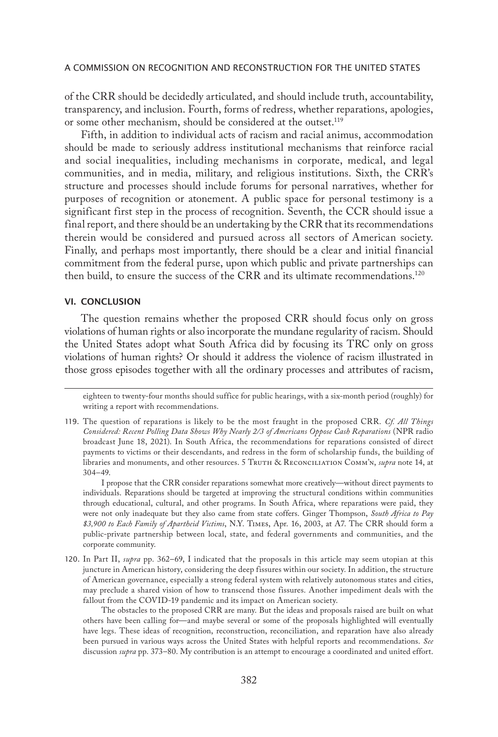of the CRR should be decidedly articulated, and should include truth, accountability, transparency, and inclusion. Fourth, forms of redress, whether reparations, apologies, or some other mechanism, should be considered at the outset.<sup>119</sup>

Fifth, in addition to individual acts of racism and racial animus, accommodation should be made to seriously address institutional mechanisms that reinforce racial and social inequalities, including mechanisms in corporate, medical, and legal communities, and in media, military, and religious institutions. Sixth, the CRR's structure and processes should include forums for personal narratives, whether for purposes of recognition or atonement. A public space for personal testimony is a significant first step in the process of recognition. Seventh, the CCR should issue a final report, and there should be an undertaking by the CRR that its recommendations therein would be considered and pursued across all sectors of American society. Finally, and perhaps most importantly, there should be a clear and initial financial commitment from the federal purse, upon which public and private partnerships can then build, to ensure the success of the CRR and its ultimate recommendations.<sup>120</sup>

# VI. CONCLUSION

The question remains whether the proposed CRR should focus only on gross violations of human rights or also incorporate the mundane regularity of racism. Should the United States adopt what South Africa did by focusing its TRC only on gross violations of human rights? Or should it address the violence of racism illustrated in those gross episodes together with all the ordinary processes and attributes of racism,

I propose that the CRR consider reparations somewhat more creatively—without direct payments to individuals. Reparations should be targeted at improving the structural conditions within communities through educational, cultural, and other programs. In South Africa, where reparations were paid, they were not only inadequate but they also came from state coffers. Ginger Thompson, *South Africa to Pay \$3,900 to Each Family of Apartheid Victims*, N.Y. Times, Apr. 16, 2003, at A7. The CRR should form a public-private partnership between local, state, and federal governments and communities, and the corporate community.

120. In Part II, *supra* pp. 362–69, I indicated that the proposals in this article may seem utopian at this juncture in American history, considering the deep fissures within our society. In addition, the structure of American governance, especially a strong federal system with relatively autonomous states and cities, may preclude a shared vision of how to transcend those fissures. Another impediment deals with the fallout from the COVID-19 pandemic and its impact on American society.

The obstacles to the proposed CRR are many. But the ideas and proposals raised are built on what others have been calling for—and maybe several or some of the proposals highlighted will eventually have legs. These ideas of recognition, reconstruction, reconciliation, and reparation have also already been pursued in various ways across the United States with helpful reports and recommendations. *See* discussion *supra* pp. 373–80. My contribution is an attempt to encourage a coordinated and united effort.

eighteen to twenty-four months should suffice for public hearings, with a six-month period (roughly) for writing a report with recommendations.

<sup>119.</sup> The question of reparations is likely to be the most fraught in the proposed CRR. *Cf. All Things Considered: Recent Polling Data Shows Why Nearly 2/3 of Americans Oppose Cash Reparations* (NPR radio broadcast June 18, 2021). In South Africa, the recommendations for reparations consisted of direct payments to victims or their descendants, and redress in the form of scholarship funds, the building of libraries and monuments, and other resources. 5 Truth & Reconciliation Comm'n, *supra* note 14, at 304–49.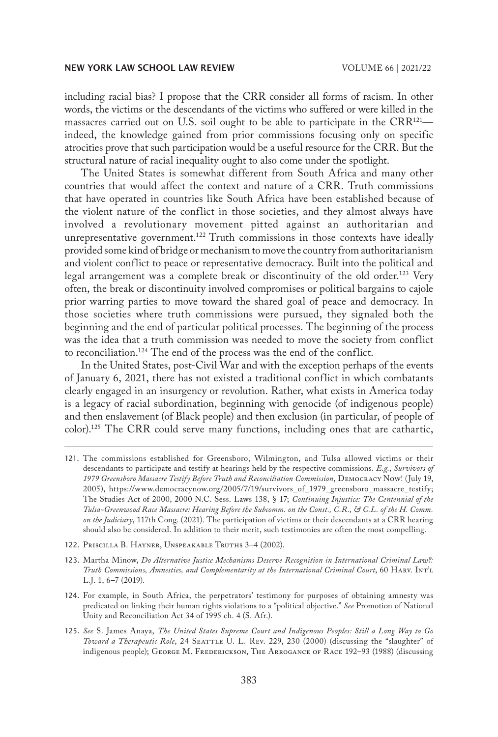including racial bias? I propose that the CRR consider all forms of racism. In other words, the victims or the descendants of the victims who suffered or were killed in the massacres carried out on U.S. soil ought to be able to participate in the  $CRR^{121}$  indeed, the knowledge gained from prior commissions focusing only on specific atrocities prove that such participation would be a useful resource for the CRR. But the structural nature of racial inequality ought to also come under the spotlight.

The United States is somewhat different from South Africa and many other countries that would affect the context and nature of a CRR. Truth commissions that have operated in countries like South Africa have been established because of the violent nature of the conflict in those societies, and they almost always have involved a revolutionary movement pitted against an authoritarian and unrepresentative government.<sup>122</sup> Truth commissions in those contexts have ideally provided some kind of bridge or mechanism to move the country from authoritarianism and violent conflict to peace or representative democracy. Built into the political and legal arrangement was a complete break or discontinuity of the old order.<sup>123</sup> Very often, the break or discontinuity involved compromises or political bargains to cajole prior warring parties to move toward the shared goal of peace and democracy. In those societies where truth commissions were pursued, they signaled both the beginning and the end of particular political processes. The beginning of the process was the idea that a truth commission was needed to move the society from conflict to reconciliation.124 The end of the process was the end of the conflict.

In the United States, post-Civil War and with the exception perhaps of the events of January 6, 2021, there has not existed a traditional conflict in which combatants clearly engaged in an insurgency or revolution. Rather, what exists in America today is a legacy of racial subordination, beginning with genocide (of indigenous people) and then enslavement (of Black people) and then exclusion (in particular, of people of color).125 The CRR could serve many functions, including ones that are cathartic,

- 122. Priscilla B. Hayner, Unspeakable Truths 3–4 (2002).
- 123. Martha Minow, *Do Alternative Justice Mechanisms Deserve Recognition in International Criminal Law?: Truth Commissions, Amnesties, and Complementarity at the International Criminal Court*, 60 Harv. Int'l L.J. 1, 6–7 (2019).
- 124. For example, in South Africa, the perpetrators' testimony for purposes of obtaining amnesty was predicated on linking their human rights violations to a "political objective." *See* Promotion of National Unity and Reconciliation Act 34 of 1995 ch. 4 (S. Afr.).
- 125. *See* S. James Anaya, *The United States Supreme Court and Indigenous Peoples: Still a Long Way to Go Toward a Therapeutic Role*, 24 Seattle U. L. Rev. 229, 230 (2000) (discussing the "slaughter" of indigenous people); GEORGE M. FREDERICKSON, THE ARROGANCE OF RACE 192-93 (1988) (discussing

<sup>121.</sup> The commissions established for Greensboro, Wilmington, and Tulsa allowed victims or their descendants to participate and testify at hearings held by the respective commissions. *E.g.*, *Survivors of 1979 Greensboro Massacre Testify Before Truth and Reconciliation Commission*, Democracy Now! (July 19, 2005), https://www.democracynow.org/2005/7/19/survivors\_of\_1979\_greensboro\_massacre\_testify; The Studies Act of 2000, 2000 N.C. Sess. Laws 138, § 17; *Continuing Injustice: The Centennial of the Tulsa-Greenwood Race Massacre: Hearing Before the Subcomm. on the Const., C.R., & C.L. of the H. Comm. on the Judiciary*, 117th Cong. (2021). The participation of victims or their descendants at a CRR hearing should also be considered. In addition to their merit, such testimonies are often the most compelling.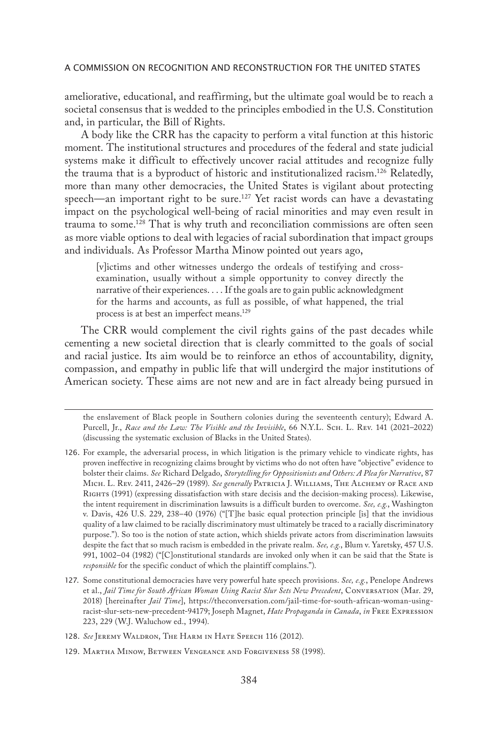ameliorative, educational, and reaffirming, but the ultimate goal would be to reach a societal consensus that is wedded to the principles embodied in the U.S. Constitution and, in particular, the Bill of Rights.

A body like the CRR has the capacity to perform a vital function at this historic moment. The institutional structures and procedures of the federal and state judicial systems make it difficult to effectively uncover racial attitudes and recognize fully the trauma that is a byproduct of historic and institutionalized racism.<sup>126</sup> Relatedly, more than many other democracies, the United States is vigilant about protecting speech—an important right to be sure.<sup>127</sup> Yet racist words can have a devastating impact on the psychological well-being of racial minorities and may even result in trauma to some.128 That is why truth and reconciliation commissions are often seen as more viable options to deal with legacies of racial subordination that impact groups and individuals. As Professor Martha Minow pointed out years ago,

[v]ictims and other witnesses undergo the ordeals of testifying and crossexamination, usually without a simple opportunity to convey directly the narrative of their experiences. . . . If the goals are to gain public acknowledgment for the harms and accounts, as full as possible, of what happened, the trial process is at best an imperfect means.<sup>129</sup>

The CRR would complement the civil rights gains of the past decades while cementing a new societal direction that is clearly committed to the goals of social and racial justice. Its aim would be to reinforce an ethos of accountability, dignity, compassion, and empathy in public life that will undergird the major institutions of American society. These aims are not new and are in fact already being pursued in

the enslavement of Black people in Southern colonies during the seventeenth century); Edward A. Purcell, Jr., *Race and the Law: The Visible and the Invisible*, 66 N.Y.L. Sch. L. Rev. 141 (2021–2022) (discussing the systematic exclusion of Blacks in the United States).

- 126. For example, the adversarial process, in which litigation is the primary vehicle to vindicate rights, has proven ineffective in recognizing claims brought by victims who do not often have "objective" evidence to bolster their claims. *See* Richard Delgado, *Storytelling for Oppositionists and Others: A Plea for Narrative*, 87 Mich. L. Rev. 2411, 2426–29 (1989). *See generally* Patricia J. Williams, The Alchemy of Race and Rights (1991) (expressing dissatisfaction with stare decisis and the decision-making process). Likewise, the intent requirement in discrimination lawsuits is a difficult burden to overcome. *See, e.g.*, Washington v. Davis, 426 U.S. 229, 238–40 (1976) ("[T]he basic equal protection principle [is] that the invidious quality of a law claimed to be racially discriminatory must ultimately be traced to a racially discriminatory purpose."). So too is the notion of state action, which shields private actors from discrimination lawsuits despite the fact that so much racism is embedded in the private realm. *See, e.g.*, Blum v. Yaretsky, 457 U.S. 991, 1002–04 (1982) ("[C]onstitutional standards are invoked only when it can be said that the State is *responsible* for the specific conduct of which the plaintiff complains.").
- 127. Some constitutional democracies have very powerful hate speech provisions. *See, e.g.*, Penelope Andrews et al., *Jail Time for South African Woman Using Racist Slur Sets New Precedent*, Conversation (Mar. 29, 2018) [hereinafter *Jail Time*], https://theconversation.com/jail-time-for-south-african-woman-usingracist-slur-sets-new-precedent-94179; Joseph Magnet, *Hate Propaganda in Canada*, *in* Free Expression 223, 229 (W.J. Waluchow ed., 1994).
- 128. *See* Jeremy Waldron, The Harm in Hate Speech 116 (2012).
- 129. Martha Minow, Between Vengeance and Forgiveness 58 (1998).